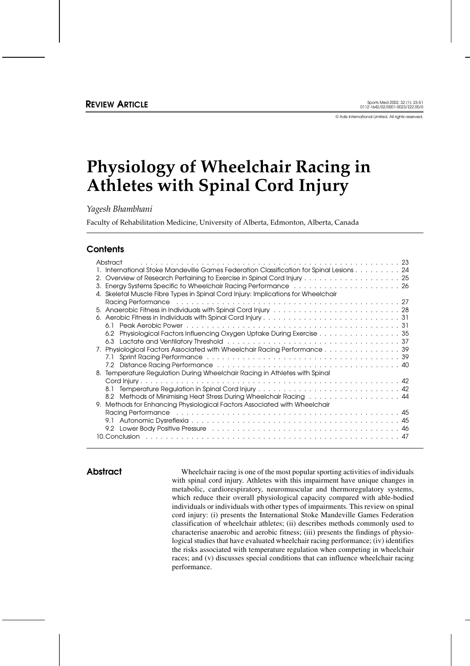© Adis International Limited. All rights reserved.

# **Physiology of Wheelchair Racing in Athletes with Spinal Cord Injury**

*Yagesh Bhambhani*

Faculty of Rehabilitation Medicine, University of Alberta, Edmonton, Alberta, Canada

# **Contents**

| Abstract                                                                                                                                                                                                                       |
|--------------------------------------------------------------------------------------------------------------------------------------------------------------------------------------------------------------------------------|
| 1. International Stoke Mandeville Games Federation Classification for Spinal Lesions 24                                                                                                                                        |
| 2. Overview of Research Pertaining to Exercise in Spinal Cord Injury 25                                                                                                                                                        |
| 3. Energy Systems Specific to Wheelchair Racing Performance www.www.www.www.web.com                                                                                                                                            |
| 4. Skeletal Muscle Fibre Types in Spinal Cord Injury: Implications for Wheelchair                                                                                                                                              |
| Racing Performance educational contracts and contact the contracts of the contracts of the contracts of the contracts of the contracts of the contracts of the contracts of the contracts of the contracts of the contracts of |
|                                                                                                                                                                                                                                |
|                                                                                                                                                                                                                                |
|                                                                                                                                                                                                                                |
| 6.2 Physiological Factors Influencing Oxygen Uptake During Exercise 35                                                                                                                                                         |
|                                                                                                                                                                                                                                |
| 7. Physiological Factors Associated with Wheelchair Racing Performance 39                                                                                                                                                      |
|                                                                                                                                                                                                                                |
| 7.2 Distance Racing Performance et al., et al., et al., et al., et al., et al., et al., et al., et al., et al.                                                                                                                 |
| 8. Temperature Regulation During Wheelchair Racing in Athletes with Spinal                                                                                                                                                     |
|                                                                                                                                                                                                                                |
| 8.1                                                                                                                                                                                                                            |
| Methods of Minimising Heat Stress During Wheelchair Racing [all all all all all all all 44<br>8.2                                                                                                                              |
| 9. Methods for Enhancing Physiological Factors Associated with Wheelchair                                                                                                                                                      |
| Racing Performance education of the contract of the contract of the contract of the contract of the contract of the contract of the contract of the contract of the contract of the contract of the contract of the contract o |
|                                                                                                                                                                                                                                |
|                                                                                                                                                                                                                                |
| 10. Conclusion                                                                                                                                                                                                                 |
|                                                                                                                                                                                                                                |

**Abstract** Wheelchair racing is one of the most popular sporting activities of individuals with spinal cord injury. Athletes with this impairment have unique changes in metabolic, cardiorespiratory, neuromuscular and thermoregulatory systems, which reduce their overall physiological capacity compared with able-bodied individuals or individuals with other types of impairments. This review on spinal cord injury: (i) presents the International Stoke Mandeville Games Federation classification of wheelchair athletes; (ii) describes methods commonly used to characterise anaerobic and aerobic fitness; (iii) presents the findings of physiological studies that have evaluated wheelchair racing performance; (iv) identifies the risks associated with temperature regulation when competing in wheelchair races; and (v) discusses special conditions that can influence wheelchair racing performance.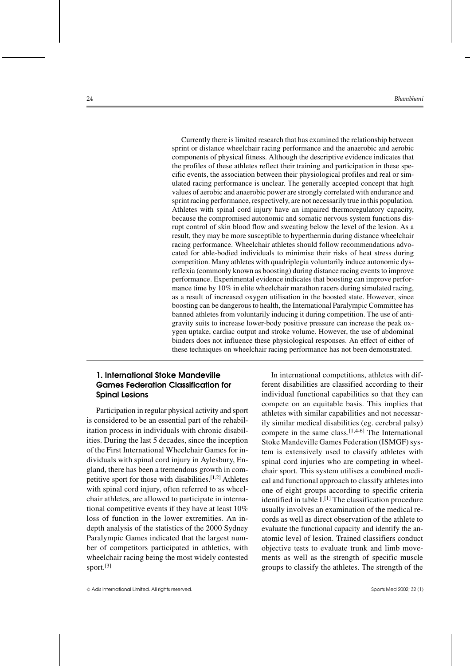Currently there is limited research that has examined the relationship between sprint or distance wheelchair racing performance and the anaerobic and aerobic components of physical fitness. Although the descriptive evidence indicates that the profiles of these athletes reflect their training and participation in these specific events, the association between their physiological profiles and real or simulated racing performance is unclear. The generally accepted concept that high values of aerobic and anaerobic power are strongly correlated with endurance and sprint racing performance, respectively, are not necessarily true in this population. Athletes with spinal cord injury have an impaired thermoregulatory capacity, because the compromised autonomic and somatic nervous system functions disrupt control of skin blood flow and sweating below the level of the lesion. As a result, they may be more susceptible to hyperthermia during distance wheelchair racing performance. Wheelchair athletes should follow recommendations advocated for able-bodied individuals to minimise their risks of heat stress during competition. Many athletes with quadriplegia voluntarily induce autonomic dysreflexia (commonly known as boosting) during distance racing events to improve performance. Experimental evidence indicates that boosting can improve performance time by 10% in elite wheelchair marathon racers during simulated racing, as a result of increased oxygen utilisation in the boosted state. However, since boosting can be dangerous to health, the International Paralympic Committee has banned athletes from voluntarily inducing it during competition. The use of antigravity suits to increase lower-body positive pressure can increase the peak oxygen uptake, cardiac output and stroke volume. However, the use of abdominal binders does not influence these physiological responses. An effect of either of these techniques on wheelchair racing performance has not been demonstrated.

# **1. International Stoke Mandeville Games Federation Classification for Spinal Lesions**

Participation in regular physical activity and sport is considered to be an essential part of the rehabilitation process in individuals with chronic disabilities. During the last 5 decades, since the inception of the First International Wheelchair Games for individuals with spinal cord injury in Aylesbury, England, there has been a tremendous growth in competitive sport for those with disabilities.[1,2] Athletes with spinal cord injury, often referred to as wheelchair athletes, are allowed to participate in international competitive events if they have at least 10% loss of function in the lower extremities. An indepth analysis of the statistics of the 2000 Sydney Paralympic Games indicated that the largest number of competitors participated in athletics, with wheelchair racing being the most widely contested sport.[3]

In international competitions, athletes with different disabilities are classified according to their individual functional capabilities so that they can compete on an equitable basis. This implies that athletes with similar capabilities and not necessarily similar medical disabilities (eg. cerebral palsy) compete in the same class. $[1,4-6]$  The International Stoke Mandeville Games Federation (ISMGF) system is extensively used to classify athletes with spinal cord injuries who are competing in wheelchair sport. This system utilises a combined medical and functional approach to classify athletes into one of eight groups according to specific criteria identified in table  $I^{[1]}$ . The classification procedure usually involves an examination of the medical records as well as direct observation of the athlete to evaluate the functional capacity and identify the anatomic level of lesion. Trained classifiers conduct objective tests to evaluate trunk and limb movements as well as the strength of specific muscle groups to classify the athletes. The strength of the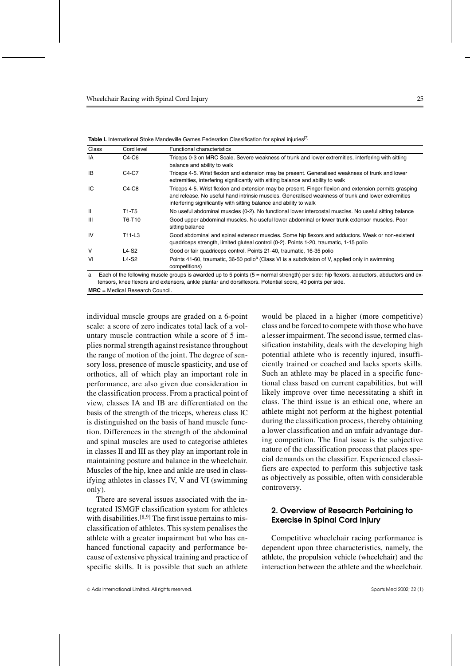| Class        | Cord level | <b>Functional characteristics</b>                                                                                                                                                                                                                                                  |
|--------------|------------|------------------------------------------------------------------------------------------------------------------------------------------------------------------------------------------------------------------------------------------------------------------------------------|
| IA           | $C4-C6$    | Triceps 0-3 on MRC Scale. Severe weakness of trunk and lower extremities, interfering with sitting<br>balance and ability to walk                                                                                                                                                  |
| <b>IB</b>    | $C4-C7$    | Triceps 4-5. Wrist flexion and extension may be present. Generalised weakness of trunk and lower<br>extremities, interfering significantly with sitting balance and ability to walk                                                                                                |
| IC           | $C4-C8$    | Triceps 4-5. Wrist flexion and extension may be present. Finger flexion and extension permits grasping<br>and release. No useful hand intrinsic muscles. Generalised weakness of trunk and lower extremities<br>interfering significantly with sitting balance and ability to walk |
| $\mathbf{I}$ | T1-T5      | No useful abdominal muscles (0-2). No functional lower intercostal muscles. No useful sitting balance                                                                                                                                                                              |
| Ш            | T6-T10     | Good upper abdominal muscles. No useful lower abdominal or lower trunk extensor muscles. Poor<br>sitting balance                                                                                                                                                                   |
| IV           | $T11-L3$   | Good abdominal and spinal extensor muscles. Some hip flexors and adductors. Weak or non-existent<br>quadriceps strength, limited gluteal control (0-2). Points 1-20, traumatic, 1-15 polio                                                                                         |
| $\mathsf{V}$ | L4-S2      | Good or fair quadriceps control. Points 21-40, traumatic, 16-35 polio                                                                                                                                                                                                              |
| VI           | L4-S2      | Points 41-60, traumatic, 36-50 polio <sup>a</sup> (Class VI is a subdivision of V, applied only in swimming<br>competitions)                                                                                                                                                       |
| a            |            | Each of the following muscle groups is awarded up to 5 points $(5 = normal strength)$ per side: hip flexors, adductors, abductors and ex-<br>tensors, knee flexors and extensors, ankle plantar and dorsiflexors. Potential score, 40 points per side.                             |

Table I. International Stoke Mandeville Games Federation Classification for spinal injuries<sup>[7]</sup>

**MRC** = Medical Research Council.

individual muscle groups are graded on a 6-point scale: a score of zero indicates total lack of a voluntary muscle contraction while a score of 5 implies normal strength against resistance throughout the range of motion of the joint. The degree of sensory loss, presence of muscle spasticity, and use of orthotics, all of which play an important role in performance, are also given due consideration in the classification process. From a practical point of view, classes IA and IB are differentiated on the basis of the strength of the triceps, whereas class IC is distinguished on the basis of hand muscle function. Differences in the strength of the abdominal and spinal muscles are used to categorise athletes in classes II and III as they play an important role in maintaining posture and balance in the wheelchair. Muscles of the hip, knee and ankle are used in classifying athletes in classes IV, V and VI (swimming only).

There are several issues associated with the integrated ISMGF classification system for athletes with disabilities.<sup>[8,9]</sup> The first issue pertains to misclassification of athletes. This system penalises the athlete with a greater impairment but who has enhanced functional capacity and performance because of extensive physical training and practice of specific skills. It is possible that such an athlete

would be placed in a higher (more competitive) class and be forced to compete with those who have a lesser impairment. The second issue, termed classification instability, deals with the developing high potential athlete who is recently injured, insufficiently trained or coached and lacks sports skills. Such an athlete may be placed in a specific functional class based on current capabilities, but will likely improve over time necessitating a shift in class. The third issue is an ethical one, where an athlete might not perform at the highest potential during the classification process, thereby obtaining a lower classification and an unfair advantage during competition. The final issue is the subjective nature of the classification process that places special demands on the classifier. Experienced classifiers are expected to perform this subjective task as objectively as possible, often with considerable controversy.

# **2. Overview of Research Pertaining to Exercise in Spinal Cord Injury**

Competitive wheelchair racing performance is dependent upon three characteristics, namely, the athlete, the propulsion vehicle (wheelchair) and the interaction between the athlete and the wheelchair.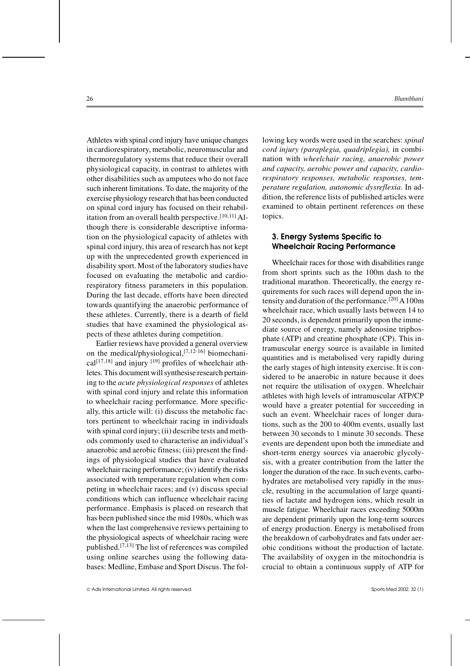Athletes with spinal cord injury have unique changes in cardiorespiratory, metabolic, neuromuscular and thermoregulatory systems that reduce their overall physiological capacity, in contrast to athletes with other disabilities such as amputees who do not face such inherent limitations. To date, the majority of the exercise physiology research that has been conducted on spinal cord injury has focused on their rehabilitation from an overall health perspective.<sup>[10,11]</sup> Although there is considerable descriptive information on the physiological capacity of athletes with spinal cord injury, this area of research has not kept up with the unprecedented growth experienced in disability sport. Most of the laboratory studies have focused on evaluating the metabolic and cardiorespiratory fitness parameters in this population. During the last decade, efforts have been directed towards quantifying the anaerobic performance of these athletes. Currently, there is a dearth of field studies that have examined the physiological aspects of these athletes during competition.

Earlier reviews have provided a general overview on the medical/physiological, $[7,12-16]$  biomechanical<sup>[17,18]</sup> and injury <sup>[19]</sup> profiles of wheelchair athletes. This document will synthesise research pertaining to the *acute physiological responses* of athletes with spinal cord injury and relate this information to wheelchair racing performance. More specifically, this article will: (i) discuss the metabolic factors pertinent to wheelchair racing in individuals with spinal cord injury; (ii) describe tests and methods commonly used to characterise an individual's anaerobic and aerobic fitness; (iii) present the findings of physiological studies that have evaluated wheelchair racing performance; (iv) identify the risks associated with temperature regulation when competing in wheelchair races; and (v) discuss special conditions which can influence wheelchair racing performance. Emphasis is placed on research that has been published since the mid 1980s, which was when the last comprehensive reviews pertaining to the physiological aspects of wheelchair racing were published.[7,13] The list of references was compiled using online searches using the following databases: Medline, Embase and Sport Discus. The following key words were used in the searches: *spinal cord injury (paraplegia, quadriplegia),* in combination with *wheelchair racing, anaerobic power and capacity, aerobic power and capacity, cardiorespiratory responses, metabolic responses, temperature regulation, autonomic dysreflexia*. In addition, the reference lists of published articles were examined to obtain pertinent references on these topics.

# **3. Energy Systems Specific to Wheelchair Racing Performance**

Wheelchair races for those with disabilities range from short sprints such as the 100m dash to the traditional marathon. Theoretically, the energy requirements for such races will depend upon the intensity and duration of the performance.<sup>[20]</sup> A 100m wheelchair race, which usually lasts between 14 to 20 seconds, is dependent primarily upon the immediate source of energy, namely adenosine triphosphate (ATP) and creatine phosphate (CP). This intramuscular energy source is available in limited quantities and is metabolised very rapidly during the early stages of high intensity exercise. It is considered to be anaerobic in nature because it does not require the utilisation of oxygen. Wheelchair athletes with high levels of intramuscular ATP/CP would have a greater potential for succeeding in such an event. Wheelchair races of longer durations, such as the 200 to 400m events, usually last between 30 seconds to 1 minute 30 seconds. These events are dependent upon both the immediate and short-term energy sources via anaerobic glycolysis, with a greater contribution from the latter the longer the duration of the race. In such events, carbohydrates are metabolised very rapidly in the muscle, resulting in the accumulation of large quantities of lactate and hydrogen ions, which result in muscle fatigue. Wheelchair races exceeding 5000m are dependent primarily upon the long-term sources of energy production. Energy is metabolised from the breakdown of carbohydrates and fats under aerobic conditions without the production of lactate. The availability of oxygen in the mitochondria is crucial to obtain a continuous supply of ATP for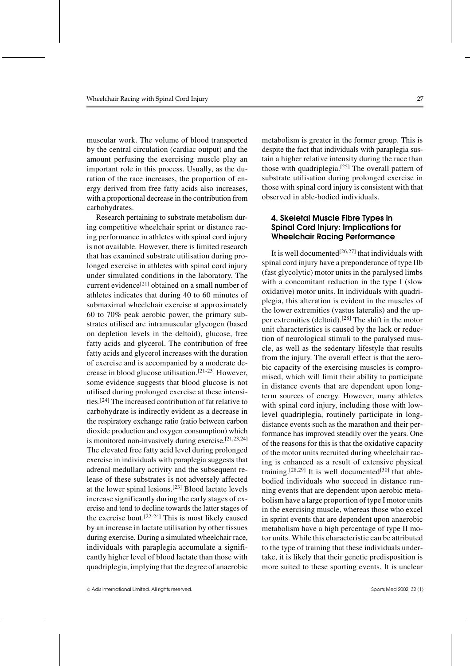muscular work. The volume of blood transported by the central circulation (cardiac output) and the amount perfusing the exercising muscle play an important role in this process. Usually, as the duration of the race increases, the proportion of energy derived from free fatty acids also increases, with a proportional decrease in the contribution from carbohydrates.

Research pertaining to substrate metabolism during competitive wheelchair sprint or distance racing performance in athletes with spinal cord injury is not available. However, there is limited research that has examined substrate utilisation during prolonged exercise in athletes with spinal cord injury under simulated conditions in the laboratory. The current evidence<sup>[21]</sup> obtained on a small number of athletes indicates that during 40 to 60 minutes of submaximal wheelchair exercise at approximately 60 to 70% peak aerobic power, the primary substrates utilised are intramuscular glycogen (based on depletion levels in the deltoid), glucose, free fatty acids and glycerol. The contribution of free fatty acids and glycerol increases with the duration of exercise and is accompanied by a moderate decrease in blood glucose utilisation.[21-23] However, some evidence suggests that blood glucose is not utilised during prolonged exercise at these intensities.[24] The increased contribution of fat relative to carbohydrate is indirectly evident as a decrease in the respiratory exchange ratio (ratio between carbon dioxide production and oxygen consumption) which is monitored non-invasively during exercise.<sup>[21,23,24]</sup> The elevated free fatty acid level during prolonged exercise in individuals with paraplegia suggests that adrenal medullary activity and the subsequent release of these substrates is not adversely affected at the lower spinal lesions.[23] Blood lactate levels increase significantly during the early stages of exercise and tend to decline towards the latter stages of the exercise bout.[22-24] This is most likely caused by an increase in lactate utilisation by other tissues during exercise. During a simulated wheelchair race, individuals with paraplegia accumulate a significantly higher level of blood lactate than those with quadriplegia, implying that the degree of anaerobic

metabolism is greater in the former group. This is despite the fact that individuals with paraplegia sustain a higher relative intensity during the race than those with quadriplegia.[25] The overall pattern of substrate utilisation during prolonged exercise in those with spinal cord injury is consistent with that observed in able-bodied individuals.

# **4. Skeletal Muscle Fibre Types in Spinal Cord Injury: Implications for Wheelchair Racing Performance**

It is well documented<sup>[26,27]</sup> that individuals with spinal cord injury have a preponderance of type IIb (fast glycolytic) motor units in the paralysed limbs with a concomitant reduction in the type I (slow oxidative) motor units. In individuals with quadriplegia, this alteration is evident in the muscles of the lower extremities (vastus lateralis) and the upper extremities (deltoid).[28] The shift in the motor unit characteristics is caused by the lack or reduction of neurological stimuli to the paralysed muscle, as well as the sedentary lifestyle that results from the injury. The overall effect is that the aerobic capacity of the exercising muscles is compromised, which will limit their ability to participate in distance events that are dependent upon longterm sources of energy. However, many athletes with spinal cord injury, including those with lowlevel quadriplegia, routinely participate in longdistance events such as the marathon and their performance has improved steadily over the years. One of the reasons for this is that the oxidative capacity of the motor units recruited during wheelchair racing is enhanced as a result of extensive physical training.<sup>[28,29]</sup> It is well documented<sup>[30]</sup> that ablebodied individuals who succeed in distance running events that are dependent upon aerobic metabolism have a large proportion of type I motor units in the exercising muscle, whereas those who excel in sprint events that are dependent upon anaerobic metabolism have a high percentage of type II motor units. While this characteristic can be attributed to the type of training that these individuals undertake, it is likely that their genetic predisposition is more suited to these sporting events. It is unclear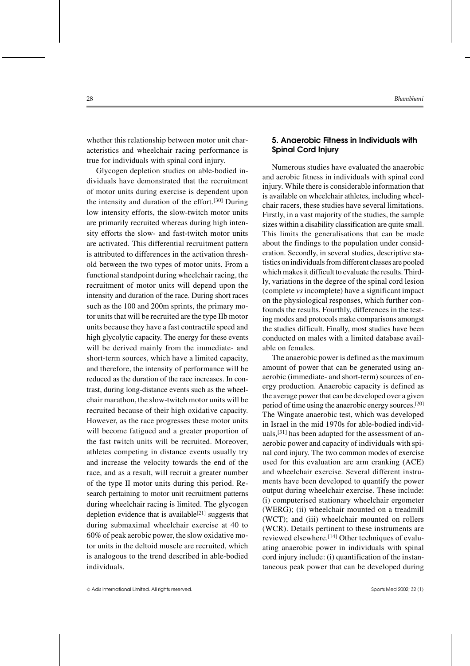whether this relationship between motor unit characteristics and wheelchair racing performance is true for individuals with spinal cord injury.

Glycogen depletion studies on able-bodied individuals have demonstrated that the recruitment of motor units during exercise is dependent upon the intensity and duration of the effort.[30] During low intensity efforts, the slow-twitch motor units are primarily recruited whereas during high intensity efforts the slow- and fast-twitch motor units are activated. This differential recruitment pattern is attributed to differences in the activation threshold between the two types of motor units. From a functional standpoint during wheelchair racing, the recruitment of motor units will depend upon the intensity and duration of the race. During short races such as the 100 and 200m sprints, the primary motor units that will be recruited are the type IIb motor units because they have a fast contractile speed and high glycolytic capacity. The energy for these events will be derived mainly from the immediate- and short-term sources, which have a limited capacity, and therefore, the intensity of performance will be reduced as the duration of the race increases. In contrast, during long-distance events such as the wheelchair marathon, the slow-twitch motor units will be recruited because of their high oxidative capacity. However, as the race progresses these motor units will become fatigued and a greater proportion of the fast twitch units will be recruited. Moreover, athletes competing in distance events usually try and increase the velocity towards the end of the race, and as a result, will recruit a greater number of the type II motor units during this period. Research pertaining to motor unit recruitment patterns during wheelchair racing is limited. The glycogen depletion evidence that is available<sup>[21]</sup> suggests that during submaximal wheelchair exercise at 40 to 60% of peak aerobic power, the slow oxidative motor units in the deltoid muscle are recruited, which is analogous to the trend described in able-bodied individuals.

# **5. Anaerobic Fitness in Individuals with Spinal Cord Injury**

Numerous studies have evaluated the anaerobic and aerobic fitness in individuals with spinal cord injury. While there is considerable information that is available on wheelchair athletes, including wheelchair racers, these studies have several limitations. Firstly, in a vast majority of the studies, the sample sizes within a disability classification are quite small. This limits the generalisations that can be made about the findings to the population under consideration. Secondly, in several studies, descriptive statistics on individuals from different classes are pooled which makes it difficult to evaluate the results. Thirdly, variations in the degree of the spinal cord lesion (complete *vs* incomplete) have a significant impact on the physiological responses, which further confounds the results. Fourthly, differences in the testing modes and protocols make comparisons amongst the studies difficult. Finally, most studies have been conducted on males with a limited database available on females.

The anaerobic power is defined as the maximum amount of power that can be generated using anaerobic (immediate- and short-term) sources of energy production. Anaerobic capacity is defined as the average power that can be developed over a given period of time using the anaerobic energy sources.[20] The Wingate anaerobic test, which was developed in Israel in the mid 1970s for able-bodied individuals,[31] has been adapted for the assessment of anaerobic power and capacity of individuals with spinal cord injury. The two common modes of exercise used for this evaluation are arm cranking (ACE) and wheelchair exercise. Several different instruments have been developed to quantify the power output during wheelchair exercise. These include: (i) computerised stationary wheelchair ergometer (WERG); (ii) wheelchair mounted on a treadmill (WCT); and (iii) wheelchair mounted on rollers (WCR). Details pertinent to these instruments are reviewed elsewhere.<sup>[14]</sup> Other techniques of evaluating anaerobic power in individuals with spinal cord injury include: (i) quantification of the instantaneous peak power that can be developed during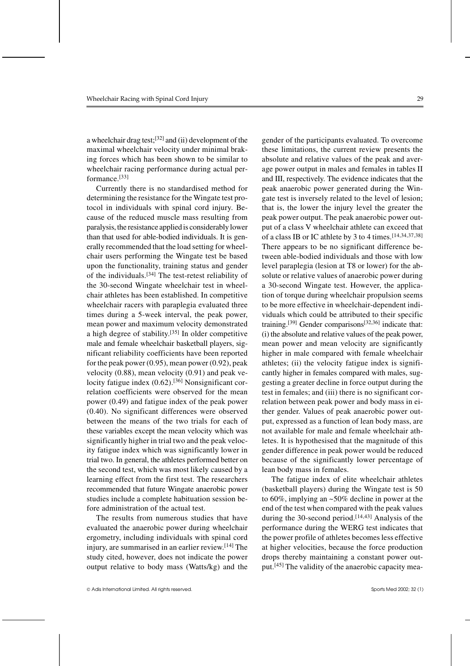a wheelchair drag test;[32] and (ii) development of the maximal wheelchair velocity under minimal braking forces which has been shown to be similar to wheelchair racing performance during actual performance.[33]

Currently there is no standardised method for determining the resistance for the Wingate test protocol in individuals with spinal cord injury. Because of the reduced muscle mass resulting from paralysis, the resistance applied is considerably lower than that used for able-bodied individuals. It is generally recommended that the load setting for wheelchair users performing the Wingate test be based upon the functionality, training status and gender of the individuals.[34] The test-retest reliability of the 30-second Wingate wheelchair test in wheelchair athletes has been established. In competitive wheelchair racers with paraplegia evaluated three times during a 5-week interval, the peak power, mean power and maximum velocity demonstrated a high degree of stability.[35] In older competitive male and female wheelchair basketball players, significant reliability coefficients have been reported for the peak power  $(0.95)$ , mean power  $(0.92)$ , peak velocity (0.88), mean velocity (0.91) and peak velocity fatigue index  $(0.62)$ .<sup>[36]</sup> Nonsignificant correlation coefficients were observed for the mean power (0.49) and fatigue index of the peak power (0.40). No significant differences were observed between the means of the two trials for each of these variables except the mean velocity which was significantly higher in trial two and the peak velocity fatigue index which was significantly lower in trial two. In general, the athletes performed better on the second test, which was most likely caused by a learning effect from the first test. The researchers recommended that future Wingate anaerobic power studies include a complete habituation session before administration of the actual test.

The results from numerous studies that have evaluated the anaerobic power during wheelchair ergometry, including individuals with spinal cord injury, are summarised in an earlier review.[14] The study cited, however, does not indicate the power output relative to body mass (Watts/kg) and the

gender of the participants evaluated. To overcome these limitations, the current review presents the absolute and relative values of the peak and average power output in males and females in tables II and III, respectively. The evidence indicates that the peak anaerobic power generated during the Wingate test is inversely related to the level of lesion; that is, the lower the injury level the greater the peak power output. The peak anaerobic power output of a class V wheelchair athlete can exceed that of a class IB or IC athlete by 3 to 4 times.[14,34,37,38] There appears to be no significant difference between able-bodied individuals and those with low level paraplegia (lesion at T8 or lower) for the absolute or relative values of anaerobic power during a 30-second Wingate test. However, the application of torque during wheelchair propulsion seems to be more effective in wheelchair-dependent individuals which could be attributed to their specific training.[39] Gender comparisons[32,36] indicate that: (i) the absolute and relative values of the peak power, mean power and mean velocity are significantly higher in male compared with female wheelchair athletes; (ii) the velocity fatigue index is significantly higher in females compared with males, suggesting a greater decline in force output during the test in females; and (iii) there is no significant correlation between peak power and body mass in either gender. Values of peak anaerobic power output, expressed as a function of lean body mass, are not available for male and female wheelchair athletes. It is hypothesised that the magnitude of this gender difference in peak power would be reduced because of the significantly lower percentage of lean body mass in females.

The fatigue index of elite wheelchair athletes (basketball players) during the Wingate test is 50 to 60%, implying an ~50% decline in power at the end of the test when compared with the peak values during the 30-second period.<sup>[14,43]</sup> Analysis of the performance during the WERG test indicates that the power profile of athletes becomes less effective at higher velocities, because the force production drops thereby maintaining a constant power output.[45] The validity of the anaerobic capacity mea-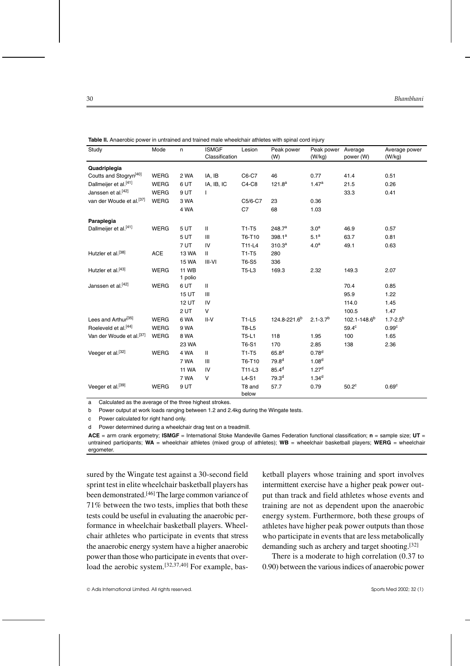| Study                                | Mode        | n            | <b>ISMGF</b><br>Classification | Lesion          | Peak power<br>(W)        | Peak power Average<br>(W/kg) | power (W)                | Average power<br>(W/kg) |
|--------------------------------------|-------------|--------------|--------------------------------|-----------------|--------------------------|------------------------------|--------------------------|-------------------------|
| Quadriplegia                         |             |              |                                |                 |                          |                              |                          |                         |
| Coutts and Stogryn <sup>[40]</sup>   | <b>WERG</b> | 2 WA         | IA, IB                         | C6-C7           | 46                       | 0.77                         | 41.4                     | 0.51                    |
| Dallmeijer et al. <sup>[41]</sup>    | <b>WERG</b> | 6 UT         | IA, IB, IC                     | $C4-C8$         | 121.8 <sup>a</sup>       | 1.47a                        | 21.5                     | 0.26                    |
| Janssen et al. <sup>[42]</sup>       | <b>WERG</b> | 9 UT         | T                              |                 |                          |                              | 33.3                     | 0.41                    |
| van der Woude et al. <sup>[37]</sup> | <b>WERG</b> | 3 WA         |                                | C5/6-C7         | 23                       | 0.36                         |                          |                         |
|                                      |             | 4 WA         |                                | C7              | 68                       | 1.03                         |                          |                         |
| Paraplegia                           |             |              |                                |                 |                          |                              |                          |                         |
| Dallmeijer et al. <sup>[41]</sup>    | <b>WERG</b> | 5 UT         | $\mathbf{H}$                   | $T1-T5$         | 248.7 <sup>a</sup>       | 3.0 <sup>a</sup>             | 46.9                     | 0.57                    |
|                                      |             | 5 UT         | $\mathbf{III}$                 | T6-T10          | 398.1ª                   | 5.1 <sup>a</sup>             | 63.7                     | 0.81                    |
|                                      |             | 7 UT         | IV                             | T11-L4          | 310.3 <sup>a</sup>       | 4.0 <sup>a</sup>             | 49.1                     | 0.63                    |
| Hutzler et al. <sup>[38]</sup>       | <b>ACE</b>  | <b>13 WA</b> | $\mathbf{H}$                   | $T1-T5$         | 280                      |                              |                          |                         |
|                                      |             | <b>15 WA</b> | $III-VI$                       | T6-S5           | 336                      |                              |                          |                         |
| Hutzler et al. <sup>[43]</sup>       | <b>WERG</b> | <b>11 WB</b> |                                | $T5-L3$         | 169.3                    | 2.32                         | 149.3                    | 2.07                    |
|                                      |             | 1 polio      |                                |                 |                          |                              |                          |                         |
| Janssen et al. <sup>[42]</sup>       | <b>WERG</b> | 6 UT         | $\mathbf{H}$                   |                 |                          |                              | 70.4                     | 0.85                    |
|                                      |             | 15 UT        | $\mathbf{III}$                 |                 |                          |                              | 95.9                     | 1.22                    |
|                                      |             | <b>12 UT</b> | IV                             |                 |                          |                              | 114.0                    | 1.45                    |
|                                      |             | 2 UT         | $\vee$                         |                 |                          |                              | 100.5                    | 1.47                    |
| Lees and Arthur <sup>[35]</sup>      | <b>WERG</b> | 6 WA         | II-V                           | $T1-L5$         | 124.8-221.6 <sup>b</sup> | $2.1 - 3.7b$                 | 102.1-148.6 <sup>b</sup> | $1.7 - 2.5^{b}$         |
| Roeleveld et al. <sup>[44]</sup>     | <b>WERG</b> | 9 WA         |                                | T8-L5           |                          |                              | 59.4 <sup>c</sup>        | 0.99 <sup>c</sup>       |
| Van der Woude et al. <sup>[37]</sup> | <b>WERG</b> | 8 WA         |                                | <b>T5-L1</b>    | 118                      | 1.95                         | 100                      | 1.65                    |
|                                      |             | 23 WA        |                                | T6-S1           | 170                      | 2.85                         | 138                      | 2.36                    |
| Veeger et al. <sup>[32]</sup>        | <b>WERG</b> | 4 WA         | $\mathbf{H}$                   | $T1-T5$         | 65.8 <sup>d</sup>        | 0.78 <sup>d</sup>            |                          |                         |
|                                      |             | 7 WA         | III                            | T6-T10          | 79.8 <sup>d</sup>        | 1.08 <sup>d</sup>            |                          |                         |
|                                      |             | <b>11 WA</b> | IV                             | T11-L3          | 85.4 <sup>d</sup>        | 1.27 <sup>d</sup>            |                          |                         |
|                                      |             | 7 WA         | V                              | $L4-S1$         | 79.3 <sup>d</sup>        | 1.34 <sup>d</sup>            |                          |                         |
| Veeger et al. <sup>[39]</sup>        | <b>WERG</b> | 9 UT         |                                | T8 and<br>below | 57.7                     | 0.79                         | 50.2 <sup>c</sup>        | 0.69 <sup>c</sup>       |

**Table II.** Anaerobic power in untrained and trained male wheelchair athletes with spinal cord injury

a Calculated as the average of the three highest strokes.

b Power output at work loads ranging between 1.2 and 2.4kg during the Wingate tests.

c Power calculated for right hand only.

d Power determined during a wheelchair drag test on a treadmill.

**ACE** = arm crank ergometry; **ISMGF** = International Stoke Mandeville Games Federation functional classification; **n** = sample size; **UT** = untrained participants; **WA** = wheelchair athletes (mixed group of athletes); **WB** = wheelchair basketball players; **WERG** = wheelchair ergometer.

sured by the Wingate test against a 30-second field sprint test in elite wheelchair basketball players has been demonstrated.[46] The large common variance of 71% between the two tests, implies that both these tests could be useful in evaluating the anaerobic performance in wheelchair basketball players. Wheelchair athletes who participate in events that stress the anaerobic energy system have a higher anaerobic power than those who participate in events that overload the aerobic system.<sup>[32,37,40]</sup> For example, basketball players whose training and sport involves intermittent exercise have a higher peak power output than track and field athletes whose events and training are not as dependent upon the anaerobic energy system. Furthermore, both these groups of athletes have higher peak power outputs than those who participate in events that are less metabolically demanding such as archery and target shooting.[32]

There is a moderate to high correlation (0.37 to 0.90) between the various indices of anaerobic power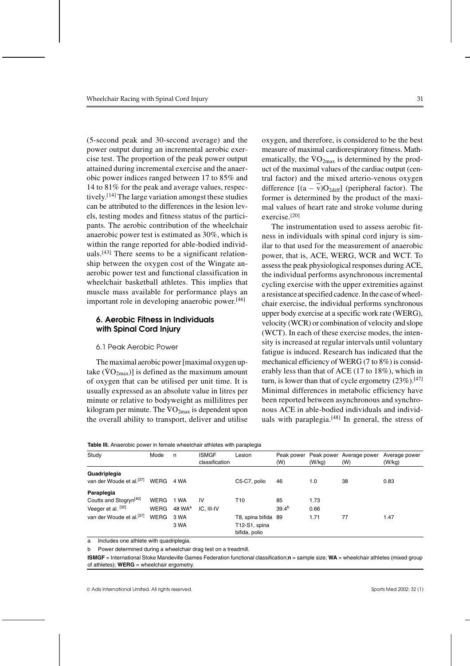(5-second peak and 30-second average) and the power output during an incremental aerobic exercise test. The proportion of the peak power output attained during incremental exercise and the anaerobic power indices ranged between 17 to 85% and 14 to 81% for the peak and average values, respectively.[14] The large variation amongst these studies can be attributed to the differences in the lesion levels, testing modes and fitness status of the participants. The aerobic contribution of the wheelchair anaerobic power test is estimated as 30%, which is within the range reported for able-bodied individuals.[43] There seems to be a significant relationship between the oxygen cost of the Wingate anaerobic power test and functional classification in wheelchair basketball athletes. This implies that muscle mass available for performance plays an important role in developing anaerobic power.[46]

# **6. Aerobic Fitness in Individuals with Spinal Cord Injury**

#### 6.1 Peak Aerobic Power

The maximal aerobic power [maximal oxygen uptake  $(\text{VO}_{2\text{max}})$ ] is defined as the maximum amount of oxygen that can be utilised per unit time. It is usually expressed as an absolute value in litres per minute or relative to bodyweight as millilitres per  $\frac{1}{100}$  kilogram per minute. The  $\rm{VO}_{2max}$  is dependent upon the overall ability to transport, deliver and utilise

| Table III. Anaerobic power in female wheelchair athletes with paraplegia |  |  |  |
|--------------------------------------------------------------------------|--|--|--|
|--------------------------------------------------------------------------|--|--|--|

oxygen, and therefore, is considered to be the best measure of maximal cardiorespiratory fitness. Mathematically, the  $VO<sub>2max</sub>$  is determined by the product of the maximal values of the cardiac output (central factor) and the mixed arterio-venous oxygen The difference  $[(a - \overline{v})O_{2\text{diff}}]$  (peripheral factor). The former is determined by the product of the maximal values of heart rate and stroke volume during exercise.[20]

The instrumentation used to assess aerobic fitness in individuals with spinal cord injury is similar to that used for the measurement of anaerobic power, that is, ACE, WERG, WCR and WCT. To assess the peak physiological responses during ACE, the individual performs asynchronous incremental cycling exercise with the upper extremities against a resistance at specified cadence. In the case of wheelchair exercise, the individual performs synchronous upper body exercise at a specific work rate (WERG), velocity (WCR) or combination of velocity and slope (WCT). In each of these exercise modes, the intensity is increased at regular intervals until voluntary fatigue is induced. Research has indicated that the mechanical efficiency of WERG (7 to 8%) is considerably less than that of ACE (17 to 18%), which in turn, is lower than that of cycle ergometry  $(23\%)$ .<sup>[47]</sup> Minimal differences in metabolic efficiency have been reported between asynchronous and synchronous ACE in able-bodied individuals and individuals with paraplegia.<sup>[48]</sup> In general, the stress of

| Study                                                | Mode        | n                  | <b>ISMGF</b><br>classification | Lesion                         | (W)               | (W/kg) | Peak power Peak power Average power<br>(W) | Average power<br>(W/kg) |
|------------------------------------------------------|-------------|--------------------|--------------------------------|--------------------------------|-------------------|--------|--------------------------------------------|-------------------------|
| Quadriplegia<br>van der Woude et al. <sup>[37]</sup> | WERG        | 4 WA               |                                | C5-C7, polio                   | 46                | 1.0    | 38                                         | 0.83                    |
| Paraplegia                                           |             |                    |                                |                                |                   |        |                                            |                         |
| Coutts and Stogryn <sup>[40]</sup>                   | <b>WERG</b> | 1 WA               | IV                             | T <sub>10</sub>                | 85                | 1.73   |                                            |                         |
| Veeger et al. [32]                                   | WERG        | 48 WA <sup>a</sup> | IC. III-IV                     |                                | 39.4 <sup>b</sup> | 0.66   |                                            |                         |
| van der Woude et al. <sup>[37]</sup>                 | WERG        | 3 WA               |                                | T8, spina bifida 89            |                   | 1.71   | 77                                         | 1.47                    |
|                                                      |             | 3 WA               |                                | T12-S1, spina<br>bifida, polio |                   |        |                                            |                         |

a Includes one athlete with quadriplegia.

b Power determined during a wheelchair drag test on a treadmill.

**ISMGF** = International Stoke Mandeville Games Federation functional classification;**n** = sample size; **WA** = wheelchair athletes (mixed group of athletes); **WERG** = wheelchair ergometry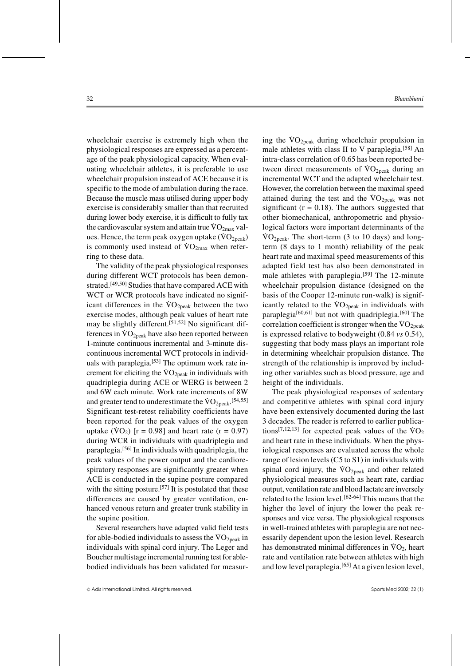wheelchair exercise is extremely high when the physiological responses are expressed as a percentage of the peak physiological capacity. When evaluating wheelchair athletes, it is preferable to use wheelchair propulsion instead of ACE because it is specific to the mode of ambulation during the race. Because the muscle mass utilised during upper body exercise is considerably smaller than that recruited during lower body exercise, it is difficult to fully tax the cardiovascular system and attain true  $\sqrt{O_{2max}}$  valthe cardio vascular system and all that if the  $\sqrt{O_{2max}}$  variances. Hence, the term peak oxygen uptake  $(\sqrt{O_{2peak}})$ is commonly used instead of  $VO_{2max}$  when referring to these data.

The validity of the peak physiological responses during different WCT protocols has been demonstrated.<sup>[49,50]</sup> Studies that have compared ACE with WCT or WCR protocols have indicated no signif- $\overline{O}$  is the V. Protocol's have indicated no significant differences in the  $\overline{VO}_{2peak}$  between the two exercise modes, although peak values of heart rate may be slightly different.<sup>[51,52]</sup> No significant dif- $\frac{1}{10}$  or  $\frac{1}{10}$  significant and  $\frac{1}{10}$  ferences in  $\sqrt{O_{2peak}}$  have also been reported between 1-minute continuous incremental and 3-minute discontinuous incremental WCT protocols in individuals with paraplegia.<sup>[53]</sup> The optimum work rate increment for eliciting the  $VO<sub>2peak</sub>$  in individuals with quadriplegia during ACE or WERG is between 2 and 6W each minute. Work rate increments of 8W and greater tend to underestimate the  $VO<sub>2peak</sub>$ . [54,55] Significant test-retest reliability coefficients have been reported for the peak values of the oxygen uptake  $(\text{VO}_2)$  [r = 0.98] and heart rate (r = 0.97) during WCR in individuals with quadriplegia and paraplegia.[56] In individuals with quadriplegia, the peak values of the power output and the cardiorespiratory responses are significantly greater when ACE is conducted in the supine posture compared with the sitting posture.<sup>[57]</sup> It is postulated that these differences are caused by greater ventilation, enhanced venous return and greater trunk stability in the supine position.

Several researchers have adapted valid field tests for able-bodied individuals to assess the  $\rm VO_{2peak}$  in individuals with spinal cord injury. The Leger and Boucher multistage incremental running test for ablebodied individuals has been validated for measur-

ing the  $\rm \ddot{V}O_{2peak}$  during wheelchair propulsion in male athletes with class II to V paraplegia.<sup>[58]</sup> An intra-class correlation of 0.65 has been reported between direct measurements of  $VO<sub>2peak</sub>$  during an incremental WCT and the adapted wheelchair test. However, the correlation between the maximal speed attained during the test and the  $VO<sub>2peak</sub>$  was not significant  $(r = 0.18)$ . The authors suggested that other biomechanical, anthropometric and physiological factors were important determinants of the  $\rm VO_{2peak}$ . The short-term (3 to 10 days) and longterm (8 days to 1 month) reliability of the peak heart rate and maximal speed measurements of this adapted field test has also been demonstrated in male athletes with paraplegia.<sup>[59]</sup> The 12-minute wheelchair propulsion distance (designed on the basis of the Cooper 12-minute run-walk) is significantly related to the  $VO<sub>2peak</sub>$  in individuals with paraplegia<sup>[60,61]</sup> but not with quadriplegia.<sup>[60]</sup> The  $\mu$  correlation coefficient is stronger when the  $\rm{VO}_{2\text{peak}}$ is expressed relative to bodyweight (0.84 *vs* 0.54), suggesting that body mass plays an important role in determining wheelchair propulsion distance. The strength of the relationship is improved by including other variables such as blood pressure, age and height of the individuals.

The peak physiological responses of sedentary and competitive athletes with spinal cord injury have been extensively documented during the last 3 decades. The reader is referred to earlier publica- $\frac{1}{2}$  decades. The reduct is referred to carnet publications<sup>[7,12,13]</sup> for expected peak values of the  $\sqrt{O_2}$ and heart rate in these individuals. When the physiological responses are evaluated across the whole range of lesion levels (C5 to S1) in individuals with spinal cord injury, the  $VO<sub>2</sub>$  peak and other related physiological measures such as heart rate, cardiac output, ventilation rate and blood lactate are inversely related to the lesion level.[62-64] This means that the higher the level of injury the lower the peak responses and vice versa. The physiological responses in well-trained athletes with paraplegia are not necessarily dependent upon the lesion level. Research  $\alpha$  has demonstrated minimal differences in  $\dot{V}O_2$ , heart rate and ventilation rate between athletes with high and low level paraplegia.<sup>[65]</sup> At a given lesion level,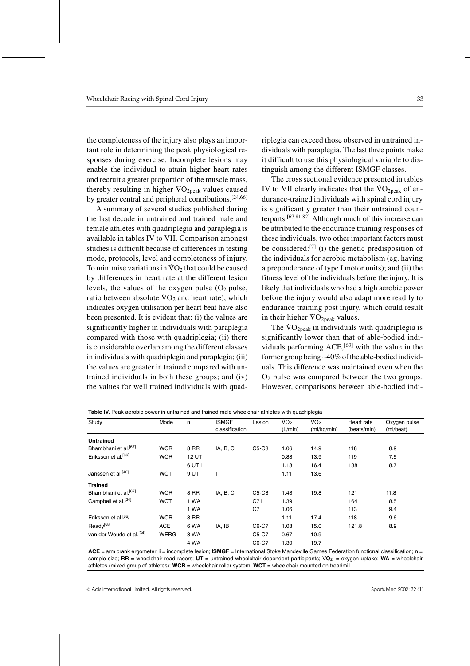the completeness of the injury also plays an important role in determining the peak physiological responses during exercise. Incomplete lesions may enable the individual to attain higher heart rates and recruit a greater proportion of the muscle mass, thereby resulting in higher  $\text{VO}_{2\text{peak}}$  values caused by greater central and peripheral contributions.[24,66]

A summary of several studies published during the last decade in untrained and trained male and female athletes with quadriplegia and paraplegia is available in tables IV to VII. Comparison amongst studies is difficult because of differences in testing mode, protocols, level and completeness of injury.  $T_0$  minimise variations in  $\sqrt{O_2}$  that could be caused by differences in heart rate at the different lesion levels, the values of the oxygen pulse  $(O_2$  pulse, ratio between absolute  $VO<sub>2</sub>$  and heart rate), which indicates oxygen utilisation per heart beat have also been presented. It is evident that: (i) the values are significantly higher in individuals with paraplegia compared with those with quadriplegia; (ii) there is considerable overlap among the different classes in individuals with quadriplegia and paraplegia; (iii) the values are greater in trained compared with untrained individuals in both these groups; and (iv) the values for well trained individuals with quadriplegia can exceed those observed in untrained individuals with paraplegia. The last three points make it difficult to use this physiological variable to distinguish among the different ISMGF classes.

The cross sectional evidence presented in tables IV to VII clearly indicates that the  $VO<sub>2peak</sub>$  of endurance-trained individuals with spinal cord injury is significantly greater than their untrained counterparts.[67,81,82] Although much of this increase can be attributed to the endurance training responses of these individuals, two other important factors must be considered: $[7]$  (i) the genetic predisposition of the individuals for aerobic metabolism (eg. having a preponderance of type I motor units); and (ii) the fitness level of the individuals before the injury. It is likely that individuals who had a high aerobic power before the injury would also adapt more readily to endurance training post injury, which could result in their higher  $\text{VO}_{2\text{peak}}$  values.

The  $VO<sub>2peak</sub>$  in individuals with quadriplegia is significantly lower than that of able-bodied individuals performing ACE,<sup>[63]</sup> with the value in the former group being ~40% of the able-bodied individuals. This difference was maintained even when the  $O<sub>2</sub>$  pulse was compared between the two groups. However, comparisons between able-bodied indi-

| Study                                | Mode        | n           | <b>ISMGF</b><br>classification | Lesion  | VO <sub>2</sub><br>(L/min) | VO <sub>2</sub><br>(ml/kg/min) | Heart rate<br>(beats/min) | Oxygen pulse<br>(ml/beat) |
|--------------------------------------|-------------|-------------|--------------------------------|---------|----------------------------|--------------------------------|---------------------------|---------------------------|
| <b>Untrained</b>                     |             |             |                                |         |                            |                                |                           |                           |
| Bhambhani et al. <sup>[67]</sup>     | <b>WCR</b>  | 8 RR        | IA, B, C                       | $C5-C8$ | 1.06                       | 14.9                           | 118                       | 8.9                       |
| Eriksson et al. <sup>[66]</sup>      | <b>WCR</b>  | 12 UT       |                                |         | 0.88                       | 13.9                           | 119                       | 7.5                       |
|                                      |             | 6 UT i      |                                |         | 1.18                       | 16.4                           | 138                       | 8.7                       |
| Janssen et al. <sup>[42]</sup>       | <b>WCT</b>  | 9 UT        |                                |         | 1.11                       | 13.6                           |                           |                           |
| <b>Trained</b>                       |             |             |                                |         |                            |                                |                           |                           |
| Bhambhani et al. <sup>[67]</sup>     | <b>WCR</b>  | 8 RR        | IA, B, C                       | $C5-C8$ | 1.43                       | 19.8                           | 121                       | 11.8                      |
| Campbell et al. <sup>[24]</sup>      | <b>WCT</b>  | 1 WA        |                                | C7i     | 1.39                       |                                | 164                       | 8.5                       |
|                                      |             | 1 WA        |                                | C7      | 1.06                       |                                | 113                       | 9.4                       |
| Eriksson et al. <sup>[66]</sup>      | <b>WCR</b>  | <b>8 RR</b> |                                |         | 1.11                       | 17.4                           | 118                       | 9.6                       |
| Ready <sup>[68]</sup>                | <b>ACE</b>  | 6 WA        | IA, IB                         | C6-C7   | 1.08                       | 15.0                           | 121.8                     | 8.9                       |
| van der Woude et al. <sup>[34]</sup> | <b>WERG</b> | 3 WA        |                                | C5-C7   | 0.67                       | 10.9                           |                           |                           |
|                                      |             | 4 WA        |                                | C6-C7   | 1.30                       | 19.7                           |                           |                           |

**Table IV.** Peak aerobic power in untrained and trained male wheelchair athletes with quadriplegia

**ACE** = arm crank ergometer; **i** = incomplete lesion; **ISMGF** = International Stoke Mandeville Games Federation functional classification; **n** = sample size; **RR** = wheelchair road racers; **UT** = untrained wheelchair dependent participants; V. **O**<sup>2</sup> = oxygen uptake; **WA** = wheelchair athletes (mixed group of athletes); **WCR** = wheelchair roller system; **WCT** = wheelchair mounted on treadmill.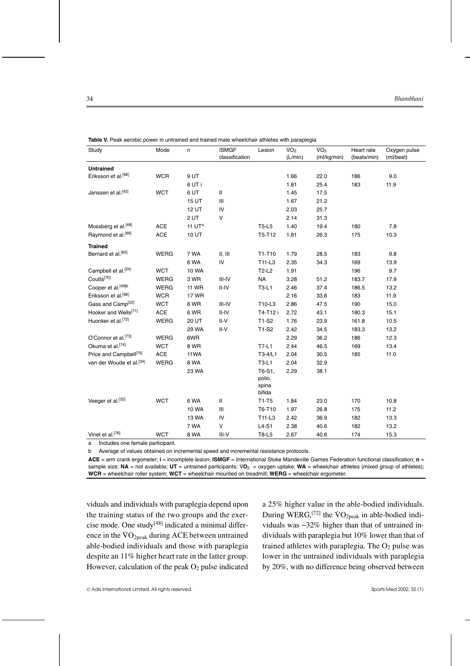| Study                                | Mode        | n                  | <b>ISMGF</b>   | Lesion            | $\dot{V}O_2$ | VO <sub>2</sub> | Heart rate  | Oxygen pulse |
|--------------------------------------|-------------|--------------------|----------------|-------------------|--------------|-----------------|-------------|--------------|
|                                      |             |                    | classification |                   | (L/min)      | (ml/kg/min)     | (beats/min) | (ml/beat)    |
| <b>Untrained</b>                     |             |                    |                |                   |              |                 |             |              |
| Eriksson et al. <sup>[66]</sup>      | <b>WCR</b>  | 9 UT               |                |                   | 1.66         | 22.0            | 186         | 9.0          |
|                                      |             | 6 UT i             |                |                   | 1.81         | 25.4            | 183         | 11.9         |
| Janssen et al. <sup>[42]</sup>       | <b>WCT</b>  | 6 UT               | Ш              |                   | 1.45         | 17.5            |             |              |
|                                      |             | 15 UT              | Ш              |                   | 1.67         | 21.2            |             |              |
|                                      |             | 12 UT              | IV             |                   | 2.03         | 25.7            |             |              |
|                                      |             | 2 UT               | v              |                   | 2.14         | 31.3            |             |              |
| Mossberg et al. <sup>[48]</sup>      | ACE         | 11 UT <sup>a</sup> |                | T5-L5             | 1.40         | 19.4            | 180         | 7.8          |
| Raymond et al. <sup>[69]</sup>       | ACE         | 10 UT              |                | T5-T12            | 1.81         | 26.3            | 175         | 10.3         |
| <b>Trained</b>                       |             |                    |                |                   |              |                 |             |              |
| Bernard et al. <sup>[65]</sup>       | <b>WERG</b> | 7 WA               | II, III        | T1-T10            | 1.79         | 28.5            | 183         | 9.8          |
|                                      |             | 6 WA               | IV             | T11-L3            | 2.35         | 34.3            | 169         | 13.9         |
| Campbell et al. <sup>[24]</sup>      | <b>WCT</b>  | 10 WA              |                | $T2-L2$           | 1.91         |                 | 196         | 9.7          |
| Coutts[70]                           | <b>WERG</b> | 3 WR               | III-IV         | <b>NA</b>         | 3.28         | 51.2            | 183.7       | 17.9         |
| Cooper et al. <sup>[49]b</sup>       | <b>WERG</b> | <b>11 WR</b>       | II-IV          | T3-L1             | 2.46         | 37.4            | 186.5       | 13.2         |
| Eriksson et al. <sup>[66]</sup>      | <b>WCR</b>  | <b>17 WR</b>       |                |                   | 2.16         | 33.6            | 183         | 11.9         |
| Gass and Camp <sup>[22]</sup>        | <b>WCT</b>  | 6 WR               | III-IV         | T10-L3            | 2.86         | 47.5            | 190         | 15.0         |
| Hooker and Wells[71]                 | <b>ACE</b>  | 6 WR               | II-IV          | T4-T12 i          | 2.72         | 43.1            | 180.3       | 15.1         |
| Huonker et al. <sup>[72]</sup>       | <b>WERG</b> | 20 UT              | II-V           | T1-S2             | 1.76         | 23.9            | 161.8       | 10.5         |
|                                      |             | 29 WA              | II-V           | T1-S2             | 2.42         | 34.5            | 183.3       | 13.2         |
| O'Connor et al. <sup>[73]</sup>      | <b>WERG</b> | 6WR                |                |                   | 2.29         | 36.2            | 186         | 12.3         |
| Okuma et al. <sup>[74]</sup>         | <b>WCT</b>  | <b>8 WR</b>        |                | T7-L1             | 2.44         | 46.5            | 169         | 13.4         |
| Price and Campbell <sup>[75]</sup>   | <b>ACE</b>  | 11WA               |                | T3-4/L1           | 2.04         | 30.5            | 185         | 11.0         |
| van der Woude et al. <sup>[34]</sup> | <b>WERG</b> | 8 WA               |                | T3-L1             | 2.04         | 32.9            |             |              |
|                                      |             | 23 WA              |                | T6-S1,            | 2.29         | 38.1            |             |              |
|                                      |             |                    |                | polio,            |              |                 |             |              |
|                                      |             |                    |                | spina             |              |                 |             |              |
| Veeger et al. <sup>[32]</sup>        | <b>WCT</b>  | 6 WA               | Ш              | bifida<br>$T1-T5$ | 1.84         | 23.0            | 170         | 10.8         |
|                                      |             |                    |                |                   |              |                 |             |              |
|                                      |             | 10 WA              | Ш              | T6-T10            | 1.97         | 26.8            | 175         | 11.2         |
|                                      |             | 13 WA              | IV             | T11-L3            | 2.42         | 36.9            | 182         | 13.3         |
|                                      |             | 7 WA               | v              | L4-S1             | 2.38         | 40.6            | 182         | 13.2         |
| Vinet et al. <sup>[76]</sup>         | <b>WCT</b>  | 8 WA               | $III-V$        | T8-L5             | 2.67         | 40.6            | 174         | 15.3         |

**Table V.** Peak aerobic power in untrained and trained male wheelchair athletes with paraplegia

a Includes one female participant.

b Average of values obtained on incremental speed and incremental resistance protocols.

**ACE** = arm crank ergometer; **i** = incomplete lesion; **ISMGF** = International Stoke Mandeville Games Federation functional classification; **n** = sample size; **NA** = not available; **UT** = untrained participants; V. **O**<sup>2</sup> = oxygen uptake; **WA** = wheelchair athletes (mixed group of athletes); **WCR** = wheelchair roller system; **WCT** = wheelchair mounted on treadmill; **WERG** = wheelchair ergometer.

viduals and individuals with paraplegia depend upon the training status of the two groups and the exercise mode. One study<sup>[48]</sup> indicated a minimal difference in the  $\rm{VO}_{2peak}$  during ACE between untrained able-bodied individuals and those with paraplegia despite an 11% higher heart rate in the latter group. However, calculation of the peak  $O_2$  pulse indicated a 25% higher value in the able-bodied individuals. During  $WERG$ ,<sup>[72]</sup> the  $VO_{2peak}$  in able-bodied individuals was ~32% higher than that of untrained individuals with paraplegia but 10% lower than that of trained athletes with paraplegia. The  $O<sub>2</sub>$  pulse was lower in the untrained individuals with paraplegia by 20%, with no difference being observed between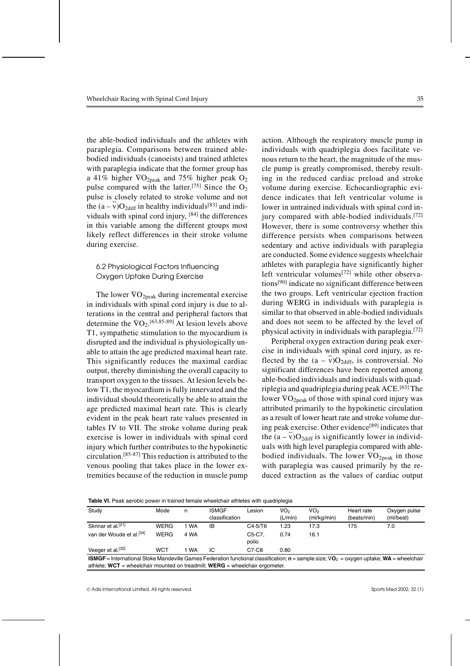the able-bodied individuals and the athletes with paraplegia. Comparisons between trained ablebodied individuals (canoeists) and trained athletes with paraplegia indicate that the former group has a 41% higher  $\text{VO}_{2\text{peak}}$  and 75% higher peak  $\text{O}_2$ pulse compared with the latter.<sup>[75]</sup> Since the  $O_2$ pulse is closely related to stroke volume and not puise is closely related to stroke volume and not<br>the  $(a - \overline{v})O_{2\text{diff}}$  in healthy individuals<sup>[83]</sup> and individuals with spinal cord injury, [84] the differences in this variable among the different groups most likely reflect differences in their stroke volume during exercise.

# 6.2 Physiological Factors Influencing Oxygen Uptake During Exercise

The lower  $\rm VO_{2peak}$  during incremental exercise in individuals with spinal cord injury is due to alterations in the central and peripheral factors that determine the  $VO<sub>2</sub>$ .<sup>[63,85-89]</sup> At lesion levels above T1, sympathetic stimulation to the myocardium is disrupted and the individual is physiologically unable to attain the age predicted maximal heart rate. This significantly reduces the maximal cardiac output, thereby diminishing the overall capacity to transport oxygen to the tissues. At lesion levels below T1, the myocardium is fully innervated and the individual should theoretically be able to attain the age predicted maximal heart rate. This is clearly evident in the peak heart rate values presented in tables IV to VII. The stroke volume during peak exercise is lower in individuals with spinal cord injury which further contributes to the hypokinetic circulation.[85-87] This reduction is attributed to the venous pooling that takes place in the lower extremities because of the reduction in muscle pump action. Although the respiratory muscle pump in individuals with quadriplegia does facilitate venous return to the heart, the magnitude of the muscle pump is greatly compromised, thereby resulting in the reduced cardiac preload and stroke volume during exercise. Echocardiographic evidence indicates that left ventricular volume is lower in untrained individuals with spinal cord injury compared with able-bodied individuals.[72] However, there is some controversy whether this difference persists when comparisons between sedentary and active individuals with paraplegia are conducted. Some evidence suggests wheelchair athletes with paraplegia have significantly higher left ventricular volumes<sup>[72]</sup> while other observations[90] indicate no significant difference between the two groups. Left ventricular ejection fraction during WERG in individuals with paraplegia is similar to that observed in able-bodied individuals and does not seem to be affected by the level of physical activity in individuals with paraplegia.[72]

Peripheral oxygen extraction during peak exercise in individuals with spinal cord injury, as recise in individuals with spinal cord injury, as re-<br>flected by the  $(a - \bar{v})O_{2diff}$ , is controversial. No significant differences have been reported among able-bodied individuals and individuals with quadriplegia and quadriplegia during peak ACE.<sup>[63]</sup> The lower  $\text{VO}_{\text{2peak}}$  of those with spinal cord injury was attributed primarily to the hypokinetic circulation as a result of lower heart rate and stroke volume during peak exercise. Other evidence[89] indicates that ing peak exercise. Other evidence  $\frac{1}{2}$  indicates that the  $(a - \overline{v})O_{2\text{diff}}$  is significantly lower in individuals with high level paraplegia compared with ablebodied individuals. The lower  $VO<sub>2peak</sub>$  in those with paraplegia was caused primarily by the reduced extraction as the values of cardiac output

**Table VI.** Peak aerobic power in trained female wheelchair athletes with quadriplegia

| Study                                                                                                                                                                                                                                   | Mode       | n    | <b>ISMGF</b><br>classification | Lesion          | VO <sub>2</sub><br>(L/min) | VO2<br>(ml/kg/min) | Heart rate<br>(beats/min) | Oxygen pulse<br>(ml/beat) |
|-----------------------------------------------------------------------------------------------------------------------------------------------------------------------------------------------------------------------------------------|------------|------|--------------------------------|-----------------|----------------------------|--------------------|---------------------------|---------------------------|
| Skrinar et al. <sup>[21]</sup>                                                                                                                                                                                                          | WERG       | 1 WA | IB                             | $C4-5/T6$       | 1.23                       | 17.3               | 175                       | 7.0                       |
| van der Woude et al. <sup>[34]</sup>                                                                                                                                                                                                    | WERG       | 4 WA |                                | C5-C7.<br>polio | 0.74                       | 16.1               |                           |                           |
| Veeger et al. <sup>[32]</sup>                                                                                                                                                                                                           | <b>WCT</b> | 1 WA | IC                             | $C7-C8$         | 0.80                       |                    |                           |                           |
| <b>ISMGF</b> = International Stoke Mandeville Games Federation functional classification; $n =$ sample size; $VO2 =$ oxygen uptake; WA = wheelchair<br>athlete; $WCT =$ wheelchair mounted on treadmill; $WERG =$ wheelchair ergometer. |            |      |                                |                 |                            |                    |                           |                           |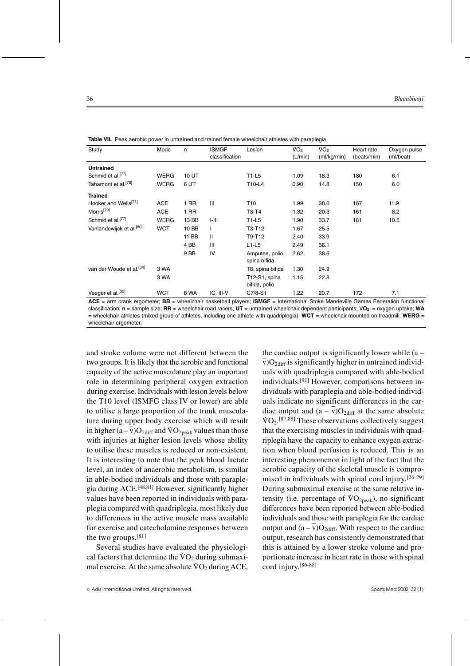| Study                                | Mode        | n     | <b>ISMGF</b><br>classification | Lesion                          | VO <sub>2</sub><br>(L/min) | VO <sub>2</sub><br>(mI/kg/min) | Heart rate<br>(beats/min) | Oxygen pulse<br>(ml/beat) |
|--------------------------------------|-------------|-------|--------------------------------|---------------------------------|----------------------------|--------------------------------|---------------------------|---------------------------|
| <b>Untrained</b>                     |             |       |                                |                                 |                            |                                |                           |                           |
| Schmid et al. <sup>[77]</sup>        | <b>WERG</b> | 10 UT |                                | T1-L5                           | 1.09                       | 18.3                           | 180                       | 6.1                       |
| Tahamont et al. <sup>[78]</sup>      | <b>WERG</b> | 6 UT  |                                | T10-L4                          | 0.90                       | 14.8                           | 150                       | 6.0                       |
| <b>Trained</b>                       |             |       |                                |                                 |                            |                                |                           |                           |
| Hooker and Wells <sup>[71]</sup>     | <b>ACE</b>  | 1 RR  | Ш                              | T10                             | 1.99                       | 38.0                           | 167                       | 11.9                      |
| Morris <sup>[79]</sup>               | <b>ACE</b>  | 1 RR  |                                | T3-T4                           | 1.32                       | 20.3                           | 161                       | 8.2                       |
| Schmid et al. <sup>[77]</sup>        | WERG        | 13 BB | $1 - 111$                      | T1-L5                           | 1.90                       | 33.7                           | 181                       | 10.5                      |
| Vanlandewijck et al. <sup>[80]</sup> | <b>WCT</b>  | 10 BB |                                | T3-T12                          | 1.67                       | 25.5                           |                           |                           |
|                                      |             | 11 BB | Ш                              | T9-T12                          | 2.40                       | 33.9                           |                           |                           |
|                                      |             | 4 BB  | Ш                              | $L1-L5$                         | 2.49                       | 36.1                           |                           |                           |
|                                      |             | 9BB   | IV                             | Amputee, polio,<br>spina bifida | 2.62                       | 38.6                           |                           |                           |
| van der Woude et al. <sup>[34]</sup> | 3 WA        |       |                                | T8, spina bifida                | 1.30                       | 24.9                           |                           |                           |
|                                      | 3 WA        |       |                                | T12-S1, spina<br>bifida, polio  | 1.15                       | 22.8                           |                           |                           |
| Veeger et al. <sup>[32]</sup>        | <b>WCT</b>  | 8 WA  | IC, III-V                      | C7/8-S1                         | 1.22                       | 20.7                           | 172                       | 7.1                       |

**Table VII.** Peak aerobic power in untrained and trained female wheelchair athletes with paraplegia

**ACE** = arm crank ergometer; **BB** = wheelchair basketball players; **ISMGF** = International Stoke Mandeville Games Federation functional classification; **<sup>n</sup>** = sample size; **RR** = wheelchair road racers; **UT** = untrained wheelchair dependent participants; V. **O**<sup>2</sup> = oxygen uptake; **WA** = wheelchair athletes (mixed group of athletes, including one athlete with quadriplegia); **WCT** = wheelchair mounted on treadmill; **WERG** = wheelchair ergometer.

and stroke volume were not different between the two groups. It is likely that the aerobic and functional capacity of the active musculature play an important role in determining peripheral oxygen extraction during exercise. Individuals with lesion levels below the T10 level (ISMFG class IV or lower) are able to utilise a large proportion of the trunk musculature during upper body exercise which will result ture during upper body exercise which will result<br>in higher  $(a - v)O_{2\text{diff}}$  and  $VO_{2\text{peak}}$  values than those with injuries at higher lesion levels whose ability to utilise these muscles is reduced or non-existent. It is interesting to note that the peak blood lactate level, an index of anaerobic metabolism, is similar in able-bodied individuals and those with paraplegia during ACE.[48,81] However, significantly higher values have been reported in individuals with paraplegia compared with quadriplegia, most likely due to differences in the active muscle mass available for exercise and catecholamine responses between the two groups.[81]

Several studies have evaluated the physiological factors that determine the  $VO<sub>2</sub>$  during submaximal exercise. At the same absolute  $\sqrt{O_2}$  during ACE,

the cardiac output is significantly lower while (a – \_  $v)O<sub>2diff</sub>$  is significantly higher in untrained individuals with quadriplegia compared with able-bodied individuals.[91] However, comparisons between individuals with paraplegia and able-bodied individuals indicate no significant differences in the caruals indicate no significant differences in the car-<br>diac output and  $(a - \overline{v})O_{2diff}$  at the same absolute  $\text{VO}_2$ .<sup>[87,88]</sup> These observations collectively suggest that the exercising muscles in individuals with quadriplegia have the capacity to enhance oxygen extraction when blood perfusion is reduced. This is an interesting phenomenon in light of the fact that the aerobic capacity of the skeletal muscle is compromised in individuals with spinal cord injury.[26-29] During submaximal exercise at the same relative in-But the same relative in tensity (i.e. percentage of  $VO<sub>2peak</sub>$ ), no significant differences have been reported between able-bodied individuals and those with paraplegia for the cardiac individuals and those with paraplegia for the cardiac<br>output and  $(a - \overline{v})O_{2\text{diff}}$ . With respect to the cardiac output, research has consistently demonstrated that this is attained by a lower stroke volume and proportionate increase in heart rate in those with spinal cord injury.[86-88]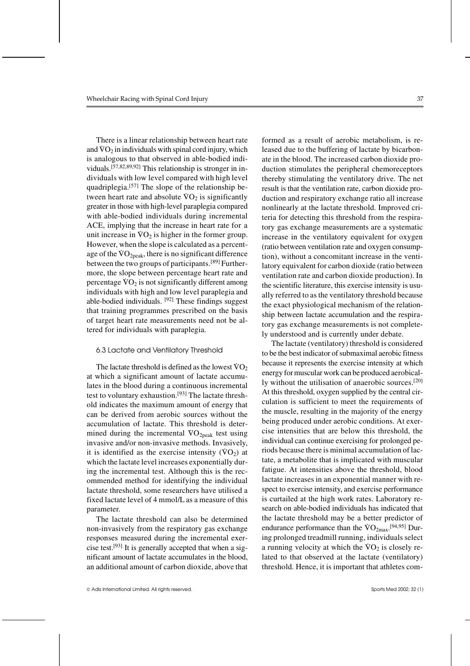There is a linear relationship between heart rate and  $\sqrt{O_2}$  in individuals with spinal cord injury, which is analogous to that observed in able-bodied individuals.[57,82,89,92] This relationship is stronger in individuals with low level compared with high level quadriplegia.[57] The slope of the relationship be $t$  ween heart rate and absolute  $VO<sub>2</sub>$  is significantly greater in those with high-level paraplegia compared with able-bodied individuals during incremental ACE, implying that the increase in heart rate for a FICE, implying that the increase in heart face for a unit increase in  $\sqrt{O_2}$  is higher in the former group. However, when the slope is calculated as a percentrrowever, when the stepe is calculated as a percentage of the  $VO<sub>2peak</sub>$ , there is no significant difference between the two groups of participants.[89] Furthermore, the slope between percentage heart rate and more, the slope between percentage heart rate and<br>percentage  $\dot{V}O_2$  is not significantly different among individuals with high and low level paraplegia and able-bodied individuals. [92] These findings suggest that training programmes prescribed on the basis of target heart rate measurements need not be altered for individuals with paraplegia.

### 6.3 Lactate and Ventilatory Threshold

The lactate threshold is defined as the lowest  $\rm VO_2$ at which a significant amount of lactate accumulates in the blood during a continuous incremental test to voluntary exhaustion.[93] The lactate threshold indicates the maximum amount of energy that can be derived from aerobic sources without the accumulation of lactate. This threshold is determined during the incremental  $VO<sub>2peak</sub>$  test using invasive and/or non-invasive methods. Invasively, it is identified as the exercise intensity  $(\text{VO}_2)$  at which the lactate level increases exponentially during the incremental test. Although this is the recommended method for identifying the individual lactate threshold, some researchers have utilised a fixed lactate level of 4 mmol/L as a measure of this parameter.

The lactate threshold can also be determined non-invasively from the respiratory gas exchange responses measured during the incremental exercise test.[93] It is generally accepted that when a significant amount of lactate accumulates in the blood, an additional amount of carbon dioxide, above that formed as a result of aerobic metabolism, is released due to the buffering of lactate by bicarbonate in the blood. The increased carbon dioxide production stimulates the peripheral chemoreceptors thereby stimulating the ventilatory drive. The net result is that the ventilation rate, carbon dioxide production and respiratory exchange ratio all increase nonlinearly at the lactate threshold. Improved criteria for detecting this threshold from the respiratory gas exchange measurements are a systematic increase in the ventilatory equivalent for oxygen (ratio between ventilation rate and oxygen consumption), without a concomitant increase in the ventilatory equivalent for carbon dioxide (ratio between ventilation rate and carbon dioxide production). In the scientific literature, this exercise intensity is usually referred to as the ventilatory threshold because the exact physiological mechanism of the relationship between lactate accumulation and the respira-

ly understood and is currently under debate. The lactate (ventilatory) threshold is considered to be the best indicator of submaximal aerobic fitness because it represents the exercise intensity at which energy for muscular work can be produced aerobically without the utilisation of anaerobic sources.[20] At this threshold, oxygen supplied by the central circulation is sufficient to meet the requirements of the muscle, resulting in the majority of the energy being produced under aerobic conditions. At exercise intensities that are below this threshold, the individual can continue exercising for prolonged periods because there is minimal accumulation of lactate, a metabolite that is implicated with muscular fatigue. At intensities above the threshold, blood lactate increases in an exponential manner with respect to exercise intensity, and exercise performance is curtailed at the high work rates. Laboratory research on able-bodied individuals has indicated that the lactate threshold may be a better predictor of endurance performance than the  $\text{VO}_{2\text{max}}$ . [94,95] During prolonged treadmill running, individuals select a running velocity at which the  $\rm \ddot{vO}_2$  is closely related to that observed at the lactate (ventilatory) threshold. Hence, it is important that athletes com-

tory gas exchange measurements is not complete-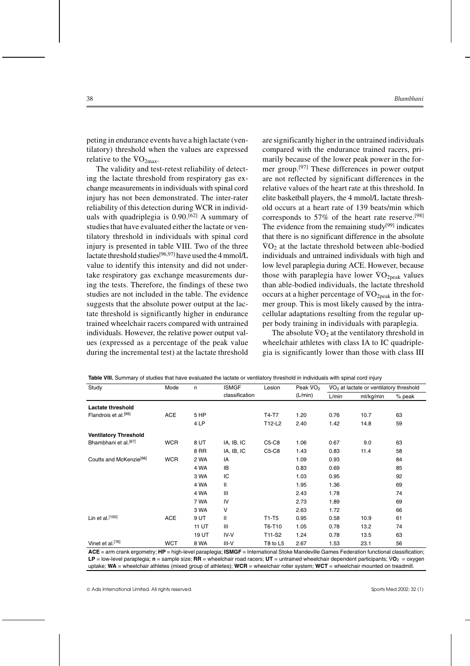peting in endurance events have a high lactate (ventilatory) threshold when the values are expressed relative to the  $VO<sub>2max</sub>$ .

The validity and test-retest reliability of detecting the lactate threshold from respiratory gas exchange measurements in individuals with spinal cord injury has not been demonstrated. The inter-rater reliability of this detection during WCR in individuals with quadriplegia is 0.90.<sup>[62]</sup> A summary of studies that have evaluated either the lactate or ventilatory threshold in individuals with spinal cord injury is presented in table VIII. Two of the three lactate threshold studies<sup>[96,97]</sup> have used the 4 mmol/L value to identify this intensity and did not undertake respiratory gas exchange measurements during the tests. Therefore, the findings of these two studies are not included in the table. The evidence suggests that the absolute power output at the lactate threshold is significantly higher in endurance trained wheelchair racers compared with untrained individuals. However, the relative power output values (expressed as a percentage of the peak value during the incremental test) at the lactate threshold are significantly higher in the untrained individuals compared with the endurance trained racers, primarily because of the lower peak power in the former group.[97] These differences in power output are not reflected by significant differences in the relative values of the heart rate at this threshold. In elite basketball players, the 4 mmol/L lactate threshold occurs at a heart rate of 139 beats/min which corresponds to 57% of the heart rate reserve.[98] The evidence from the remaining study<sup>[99]</sup> indicates that there is no significant difference in the absolute  $\sqrt[3]{O_2}$  at the lactate threshold between able-bodied individuals and untrained individuals with high and low level paraplegia during ACE. However, because those with paraplegia have lower  $\dot{V}O_{2\text{peak}}$  values than able-bodied individuals, the lactate threshold  $\alpha$  occurs at a higher percentage of  $\text{VO}_{\text{2peak}}$  in the former group. This is most likely caused by the intracellular adaptations resulting from the regular upper body training in individuals with paraplegia.

The absolute  $\sqrt{VQ_2}$  at the ventilatory threshold in wheelchair athletes with class IA to IC quadriplegia is significantly lower than those with class III

| Study                                                                                                                                            | Mode       | n           | <b>ISMGF</b>   | Lesion   | Peak $VO2$ |       | VO <sub>2</sub> at lactate or ventilatory threshold |        |  |
|--------------------------------------------------------------------------------------------------------------------------------------------------|------------|-------------|----------------|----------|------------|-------|-----------------------------------------------------|--------|--|
|                                                                                                                                                  |            |             | classification |          | (L/min)    | L/min | ml/kg/min                                           | % peak |  |
| <b>Lactate threshold</b>                                                                                                                         |            |             |                |          |            |       |                                                     |        |  |
| Flandrois et al. <sup>[99]</sup>                                                                                                                 | <b>ACE</b> | 5 HP        |                | T4-T7    | 1.20       | 0.76  | 10.7                                                | 63     |  |
|                                                                                                                                                  |            | 4 LP        |                | T12-L2   | 2.40       | 1.42  | 14.8                                                | 59     |  |
| <b>Ventilatory Threshold</b>                                                                                                                     |            |             |                |          |            |       |                                                     |        |  |
| Bhambhani et al. <sup>[67]</sup>                                                                                                                 | <b>WCR</b> | 8 UT        | IA, IB, IC     | $C5-C8$  | 1.06       | 0.67  | 9.0                                                 | 63     |  |
|                                                                                                                                                  |            | <b>8 RR</b> | IA, IB, IC     | $C5-C8$  | 1.43       | 0.83  | 11.4                                                | 58     |  |
| Coutts and McKenzie <sup>[98]</sup>                                                                                                              | <b>WCR</b> | 2 WA        | IA             |          | 1.09       | 0.93  |                                                     | 84     |  |
|                                                                                                                                                  |            | 4 WA        | IB             |          | 0.83       | 0.69  |                                                     | 85     |  |
|                                                                                                                                                  |            | 3 WA        | IC             |          | 1.03       | 0.95  |                                                     | 92     |  |
|                                                                                                                                                  |            | 4 WA        | Ш              |          | 1.95       | 1.36  |                                                     | 69     |  |
|                                                                                                                                                  |            | 4 WA        | III            |          | 2.43       | 1.78  |                                                     | 74     |  |
|                                                                                                                                                  |            | 7 WA        | IV             |          | 2.73       | 1.89  |                                                     | 69     |  |
|                                                                                                                                                  |            | 3 WA        | V              |          | 2.63       | 1.72  |                                                     | 66     |  |
| Lin et al. <sup>[100]</sup>                                                                                                                      | <b>ACE</b> | 9 UT        | Ш              | $T1-T5$  | 0.95       | 0.58  | 10.9                                                | 61     |  |
|                                                                                                                                                  |            | 11 UT       | Ш              | T6-T10   | 1.05       | 0.78  | 13.2                                                | 74     |  |
|                                                                                                                                                  |            | 19 UT       | IV-V           | T11-S2   | 1.24       | 0.78  | 13.5                                                | 63     |  |
| Vinet et al. <sup>[76]</sup>                                                                                                                     | <b>WCT</b> | 8 WA        | III-V          | T8 to L5 | 2.67       | 1.53  | 23.1                                                | 56     |  |
| $ACE = arm$ crank ergometry; $HP = high$ -level paraplegia; $ISMGF = International$ Stoke Mandeville Games Federation functional classification; |            |             |                |          |            |       |                                                     |        |  |

**Table VIII.** Summary of studies that have evaluated the lactate or ventilatory threshold in individuals with spinal cord injury

**LP** = low-level paraplegia; **<sup>n</sup>** = sample size; **RR** = wheelchair road racers; **UT** = untrained wheelchair dependent participants; V. **O**<sup>2</sup> = oxygen uptake; **WA** = wheelchair athletes (mixed group of athletes); **WCR** = wheelchair roller system; **WCT** = wheelchair mounted on treadmill.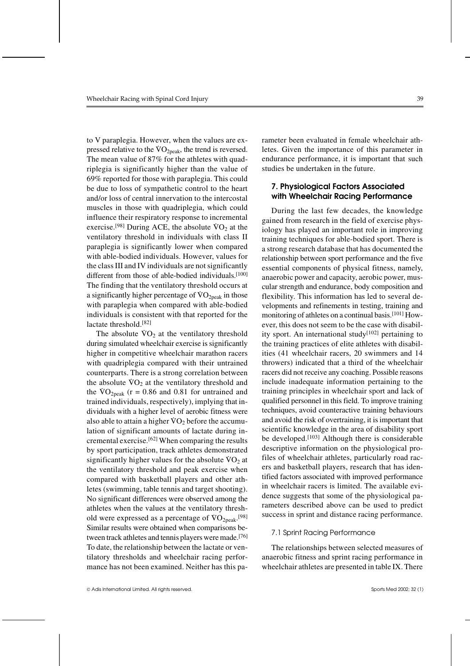to V paraplegia. However, when the values are ex- $\frac{1}{2}$  pressed relative to the  $\overline{VO_{2peak}}$ , the trend is reversed. The mean value of 87% for the athletes with quadriplegia is significantly higher than the value of 69% reported for those with paraplegia. This could be due to loss of sympathetic control to the heart and/or loss of central innervation to the intercostal muscles in those with quadriplegia, which could influence their respiratory response to incremental  $\frac{1081}{200}$  During ACE, the absolute  $\sqrt{O_2}$  at the ventilatory threshold in individuals with class II paraplegia is significantly lower when compared with able-bodied individuals. However, values for the class III and IV individuals are not significantly different from those of able-bodied individuals.<sup>[100]</sup> The finding that the ventilatory threshold occurs at a significantly higher percentage of  $VO<sub>2peak</sub>$  in those with paraplegia when compared with able-bodied individuals is consistent with that reported for the lactate threshold.[82]

The absolute  $\overline{VO}_2$  at the ventilatory threshold during simulated wheelchair exercise is significantly higher in competitive wheelchair marathon racers with quadriplegia compared with their untrained counterparts. There is a strong correlation between the absolute  $\sqrt[3]{O_2}$  at the ventilatory threshold and the VO<sub>2peak</sub> ( $r = 0.86$  and 0.81 for untrained and trained individuals, respectively), implying that individuals with a higher level of aerobic fitness were also able to attain a higher  $\sqrt{O_2}$  before the accumulation of significant amounts of lactate during incremental exercise.<sup>[62]</sup> When comparing the results by sport participation, track athletes demonstrated significantly higher values for the absolute  $VO<sub>2</sub>$  at the ventilatory threshold and peak exercise when compared with basketball players and other athletes (swimming, table tennis and target shooting). No significant differences were observed among the athletes when the values at the ventilatory threshold were expressed as a percentage of  $VO<sub>2peak</sub>.<sup>[98]</sup>$ Similar results were obtained when comparisons between track athletes and tennis players were made.<sup>[76]</sup> To date, the relationship between the lactate or ventilatory thresholds and wheelchair racing performance has not been examined. Neither has this parameter been evaluated in female wheelchair athletes. Given the importance of this parameter in endurance performance, it is important that such studies be undertaken in the future.

# **7. Physiological Factors Associated with Wheelchair Racing Performance**

During the last few decades, the knowledge gained from research in the field of exercise physiology has played an important role in improving training techniques for able-bodied sport. There is a strong research database that has documented the relationship between sport performance and the five essential components of physical fitness, namely, anaerobic power and capacity, aerobic power, muscular strength and endurance, body composition and flexibility. This information has led to several developments and refinements in testing, training and monitoring of athletes on a continual basis.[101] However, this does not seem to be the case with disability sport. An international study $[102]$  pertaining to the training practices of elite athletes with disabilities (41 wheelchair racers, 20 swimmers and 14 throwers) indicated that a third of the wheelchair racers did not receive any coaching. Possible reasons include inadequate information pertaining to the training principles in wheelchair sport and lack of qualified personnel in this field. To improve training techniques, avoid counteractive training behaviours and avoid the risk of overtraining, it is important that scientific knowledge in the area of disability sport be developed.<sup>[103]</sup> Although there is considerable descriptive information on the physiological profiles of wheelchair athletes, particularly road racers and basketball players, research that has identified factors associated with improved performance in wheelchair racers is limited. The available evidence suggests that some of the physiological parameters described above can be used to predict success in sprint and distance racing performance.

#### 7.1 Sprint Racing Performance

The relationships between selected measures of anaerobic fitness and sprint racing performance in wheelchair athletes are presented in table IX. There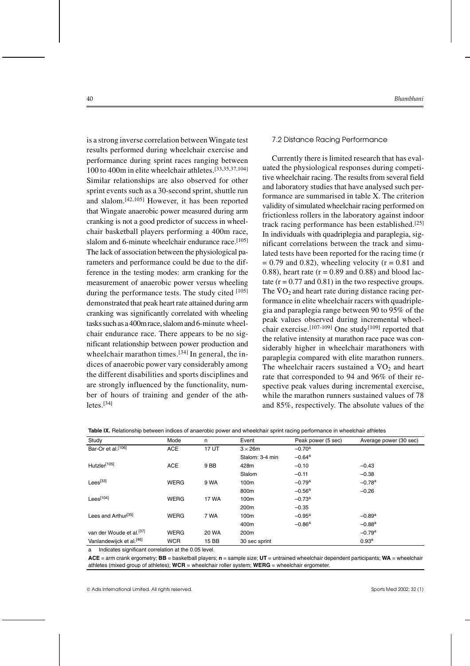is a strong inverse correlation between Wingate test results performed during wheelchair exercise and performance during sprint races ranging between 100 to 400m in elite wheelchair athletes.[33,35,37,104] Similar relationships are also observed for other sprint events such as a 30-second sprint, shuttle run and slalom.[42,105] However, it has been reported that Wingate anaerobic power measured during arm cranking is not a good predictor of success in wheelchair basketball players performing a 400m race, slalom and 6-minute wheelchair endurance race.<sup>[105]</sup> The lack of association between the physiological parameters and performance could be due to the difference in the testing modes: arm cranking for the measurement of anaerobic power versus wheeling during the performance tests. The study cited [105] demonstrated that peak heart rate attained during arm cranking was significantly correlated with wheeling tasks such as a 400m race, slalom and 6-minute wheelchair endurance race. There appears to be no significant relationship between power production and wheelchair marathon times.<sup>[34]</sup> In general, the indices of anaerobic power vary considerably among the different disabilities and sports disciplines and are strongly influenced by the functionality, number of hours of training and gender of the athletes.[34]

#### 7.2 Distance Racing Performance

Currently there is limited research that has evaluated the physiological responses during competitive wheelchair racing. The results from several field and laboratory studies that have analysed such performance are summarised in table X. The criterion validity of simulated wheelchair racing performed on frictionless rollers in the laboratory against indoor track racing performance has been established.[25] In individuals with quadriplegia and paraplegia, significant correlations between the track and simulated tests have been reported for the racing time (r  $= 0.79$  and 0.82), wheeling velocity ( $r = 0.81$  and 0.88), heart rate  $(r = 0.89$  and 0.88) and blood lactate  $(r = 0.77$  and  $(0.81)$  in the two respective groups. The  $VO<sub>2</sub>$  and beart rate during distance racing performance in elite wheelchair racers with quadriplegia and paraplegia range between 90 to 95% of the peak values observed during incremental wheelchair exercise.<sup>[107-109]</sup> One study<sup>[109]</sup> reported that the relative intensity at marathon race pace was considerably higher in wheelchair marathoners with paraplegia compared with elite marathon runners. The wheelchair racers sustained a  $\dot{V}O_2$  and heart rate that corresponded to 94 and 96% of their respective peak values during incremental exercise, while the marathon runners sustained values of 78 and 85%, respectively. The absolute values of the

|        | Table IX. Relationship between indices of anaerobic power and wheelchair sprint racing performance in wheelchair athletes |  |  |  |
|--------|---------------------------------------------------------------------------------------------------------------------------|--|--|--|
| $\sim$ |                                                                                                                           |  |  |  |

| Study                                | Mode        | n               | Event            | Peak power (5 sec)   | Average power (30 sec) |
|--------------------------------------|-------------|-----------------|------------------|----------------------|------------------------|
| Bar-Or et al. <sup>[106]</sup>       | <b>ACE</b>  | 17 UT           | $3 \times 26m$   | $-0.70a$             |                        |
|                                      |             |                 | Slalom: 3-4 min  | $-0.64$ <sup>a</sup> |                        |
| Hutzler <sup>[105]</sup>             | <b>ACE</b>  | 9 <sub>BB</sub> | 428m             | $-0.10$              | $-0.43$                |
|                                      |             |                 | Slalom           | $-0.11$              | $-0.38$                |
| Lees <sup>[33]</sup>                 | <b>WERG</b> | 9 WA            | 100m             | $-0.79a$             | $-0.78$ <sup>a</sup>   |
|                                      |             |                 | 800m             | $-0.56a$             | $-0.26$                |
| Lees <sup>[104]</sup>                | <b>WERG</b> | <b>17 WA</b>    | 100m             | $-0.73a$             |                        |
|                                      |             |                 | 200 <sub>m</sub> | $-0.35$              |                        |
| Lees and Arthur <sup>[35]</sup>      | <b>WERG</b> | 7 WA            | 100m             | $-0.95^{\rm a}$      | $-0.89$ <sup>a</sup>   |
|                                      |             |                 | 400m             | $-0.86a$             | $-0.88$ <sup>a</sup>   |
| van der Woude et al. <sup>[37]</sup> | <b>WERG</b> | <b>20 WA</b>    | 200 <sub>m</sub> |                      | $-0.79a$               |
| Vanlandewijck et al. <sup>[46]</sup> | <b>WCR</b>  | 15 BB           | 30 sec sprint    |                      | 0.93 <sup>a</sup>      |

Indicates significant correlation at the 0.05 level.

**ACE** = arm crank ergometry; **BB** = basketball players; **n** = sample size; **UT** = untrained wheelchair dependent participants; **WA** = wheelchair athletes (mixed group of athletes); **WCR** = wheelchair roller system; **WERG** = wheelchair ergometer.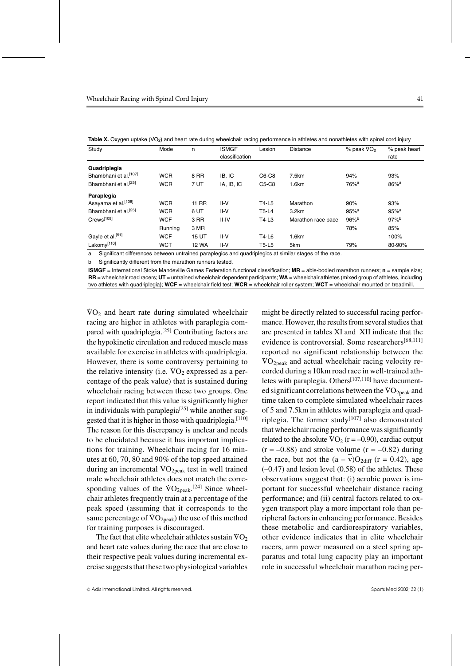| Study                             | Mode       | n            | <b>ISMGF</b><br>classification | Lesion       | <b>Distance</b>    | $%$ peak $VO2$     | % peak heart<br>rate |
|-----------------------------------|------------|--------------|--------------------------------|--------------|--------------------|--------------------|----------------------|
| Quadriplegia                      |            |              |                                |              |                    |                    |                      |
| Bhambhani et al. <sup>[107]</sup> | <b>WCR</b> | <b>8 RR</b>  | IB. IC                         | $C6-C8$      | 7.5km              | 94%                | 93%                  |
| Bhambhani et al. <sup>[25]</sup>  | <b>WCR</b> | 7 UT         | IA, IB, IC                     | $C5-C8$      | 1.6km              | $76%$ <sup>a</sup> | $86\%$ <sup>a</sup>  |
| Paraplegia                        |            |              |                                |              |                    |                    |                      |
| Asayama et al. <sup>[108]</sup>   | <b>WCR</b> | <b>11 RR</b> | II-V                           | T4-L5        | Marathon           | 90%                | 93%                  |
| Bhambhani et al. <sup>[25]</sup>  | <b>WCR</b> | 6 UT         | II-V                           | T5-L4        | 3.2km              | $95%$ <sup>a</sup> | $95%$ <sup>a</sup>   |
| Crews <sup>[109]</sup>            | <b>WCF</b> | 3 RR         | II-IV                          | $T4-L3$      | Marathon race pace | $96%^{b}$          | $97%^{b}$            |
|                                   | Running    | 3 MR         |                                |              |                    | 78%                | 85%                  |
| Gayle et al. <sup>[51]</sup>      | <b>WCF</b> | 15 UT        | II-V                           | T4-L6        | 1.6km              |                    | 100%                 |
| Lakomy[110]<br>.                  | <b>WCT</b> | <b>12 WA</b> | II-V                           | <b>T5-L5</b> | 5km                | 79%                | 80-90%               |

Table X. Oxygen uptake (VO<sub>2</sub>) and heart rate during wheelchair racing performance in athletes and nonathletes with spinal cord injury

a Significant differences between untrained paraplegics and quadriplegics at similar stages of the race.

b Significantly different from the marathon runners tested.

**ISMGF** = International Stoke Mandeville Games Federation functional classification; **MR** = able-bodied marathon runners; **n** = sample size; **RR** = wheelchair road racers; **UT** = untrained wheelchair dependent participants; **WA** = wheelchair athletes (mixed group of athletes, including two athletes with quadriplegia); **WCF** = wheelchair field test; **WCR** = wheelchair roller system; **WCT** = wheelchair mounted on treadmill.

 $\rm \ddot{V}O_2$  and heart rate during simulated wheelchair racing are higher in athletes with paraplegia compared with quadriplegia.[25] Contributing factors are the hypokinetic circulation and reduced muscle mass available for exercise in athletes with quadriplegia. However, there is some controversy pertaining to the relative intensity (i.e.  $\sqrt{O_2}$  expressed as a percentage of the peak value) that is sustained during wheelchair racing between these two groups. One report indicated that this value is significantly higher in individuals with paraplegia $[25]$  while another suggested that it is higher in those with quadriplegia.[110] The reason for this discrepancy is unclear and needs to be elucidated because it has important implications for training. Wheelchair racing for 16 minutes at 60, 70, 80 and 90% of the top speed attained during an incremental  $\text{VO}_{2\text{peak}}$  test in well trained male wheelchair athletes does not match the corresponding values of the  $VO<sub>2peak</sub>$ .<sup>[24]</sup> Since wheelchair athletes frequently train at a percentage of the peak speed (assuming that it corresponds to the same percentage of  $VO<sub>2peak</sub>$ ) the use of this method for training purposes is discouraged.

The fact that elite wheelchair athletes sustain  $\overline{V}O_2$ and heart rate values during the race that are close to their respective peak values during incremental exercise suggests that these two physiological variables

might be directly related to successful racing performance. However, the results from several studies that are presented in tables XI and XII indicate that the evidence is controversial. Some researchers<sup>[68,111]</sup> reported no significant relationship between the  $\rm VO_{2peak}$  and actual wheelchair racing velocity recorded during a 10km road race in well-trained athletes with paraplegia. Others<sup>[107,110]</sup> have documented significant correlations between the  $VO<sub>2peak</sub>$  and time taken to complete simulated wheelchair races of 5 and 7.5km in athletes with paraplegia and quadriplegia. The former study<sup>[107]</sup> also demonstrated that wheelchair racing performance was significantly related to the absolute  $\text{VO}_2$  (r = –0.90), cardiac output  $(r = -0.88)$  and stroke volume  $(r = -0.82)$  during  $(r = -0.88)$  and stroke volume  $(r = -0.82)$  during<br>the race, but not the  $(a - \overline{v})O_{2diff}$   $(r = 0.42)$ , age  $(-0.47)$  and lesion level  $(0.58)$  of the athletes. These observations suggest that: (i) aerobic power is important for successful wheelchair distance racing performance; and (ii) central factors related to oxygen transport play a more important role than peripheral factors in enhancing performance. Besides these metabolic and cardiorespiratory variables, other evidence indicates that in elite wheelchair racers, arm power measured on a steel spring apparatus and total lung capacity play an important role in successful wheelchair marathon racing per-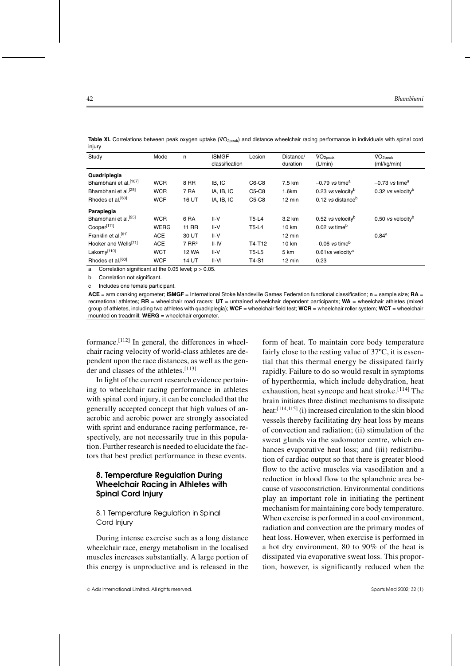| , ,                               |             |                    |                                |              |                       |                                 |                                     |
|-----------------------------------|-------------|--------------------|--------------------------------|--------------|-----------------------|---------------------------------|-------------------------------------|
| Study                             | Mode        | n                  | <b>ISMGF</b><br>classification | Lesion       | Distance/<br>duration | VO <sub>2</sub> peak<br>(L/min) | VO <sub>2</sub> peak<br>(ml/kg/min) |
| Quadriplegia                      |             |                    |                                |              |                       |                                 |                                     |
| Bhambhani et al. <sup>[107]</sup> | <b>WCR</b>  | 8 RR               | IB, IC                         | $C6-C8$      | 7.5 km                | $-0.79$ vs time <sup>a</sup>    | $-0.73$ vs time <sup>a</sup>        |
| Bhambhani et al. <sup>[25]</sup>  | <b>WCR</b>  | 7 RA               | IA, IB, IC                     | C5-C8        | 1.6km                 | $0.23$ vs velocity <sup>b</sup> | $0.32$ vs velocity <sup>b</sup>     |
| Rhodes et al. <sup>[60]</sup>     | <b>WCF</b>  | 16 UT              | IA, IB, IC                     | $C5-C8$      | $12 \text{ min}$      | 0.12 $vs$ distance <sup>b</sup> |                                     |
| Paraplegia                        |             |                    |                                |              |                       |                                 |                                     |
| Bhambhani et al. <sup>[25]</sup>  | <b>WCR</b>  | 6 <sub>RA</sub>    | $II-V$                         | $T5-L4$      | 3.2 km                | $0.52$ vs velocity <sup>b</sup> | $0.50$ vs velocity <sup>b</sup>     |
| Cooper <sup>[111]</sup>           | <b>WERG</b> | <b>11 RR</b>       | $II-V$                         | T5-L4        | 10 km                 | $0.02$ vs time <sup>b</sup>     |                                     |
| Franklin et al. <sup>[61]</sup>   | <b>ACE</b>  | 30 UT              | $II-V$                         |              | $12 \text{ min}$      |                                 | $0.84^{a}$                          |
| Hooker and Wells <sup>[71]</sup>  | <b>ACE</b>  | 7 R R <sup>c</sup> | $II - IV$                      | T4-T12       | 10 km                 | $-0.06$ vs time <sup>b</sup>    |                                     |
| Lakomy <sup>[110]</sup>           | <b>WCT</b>  | <b>12 WA</b>       | $II-V$                         | <b>T5-L5</b> | 5 km                  | 0.61 vs velocity <sup>a</sup>   |                                     |
| Rhodes et al. <sup>[60]</sup>     | <b>WCF</b>  | 14 UT              | $II-VI$                        | T4-S1        | $12 \text{ min}$      | 0.23                            |                                     |

Table XI. Correlations between peak oxygen uptake (VO<sub>2peak</sub>) and distance wheelchair racing performance in individuals with spinal cord injury

a Correlation significant at the 0.05 level; p > 0.05.

b Correlation not significant.

c Includes one female participant.

**ACE** = arm cranking ergometer; **ISMGF** = International Stoke Mandeville Games Federation functional classification; **n** = sample size; **RA** = recreational athletes; **RR** = wheelchair road racers; **UT** = untrained wheelchair dependent participants; **WA** = wheelchair athletes (mixed group of athletes, including two athletes with quadriplegia); **WCF** = wheelchair field test; **WCR** = wheelchair roller system; **WCT** = wheelchair mounted on treadmill; **WERG** = wheelchair ergometer.

formance.[112] In general, the differences in wheelchair racing velocity of world-class athletes are dependent upon the race distances, as well as the gender and classes of the athletes.<sup>[113]</sup>

In light of the current research evidence pertaining to wheelchair racing performance in athletes with spinal cord injury, it can be concluded that the generally accepted concept that high values of anaerobic and aerobic power are strongly associated with sprint and endurance racing performance, respectively, are not necessarily true in this population. Further research is needed to elucidate the factors that best predict performance in these events.

# **8. Temperature Regulation During Wheelchair Racing in Athletes with Spinal Cord Injury**

# 8.1 Temperature Regulation in Spinal Cord Injury

During intense exercise such as a long distance wheelchair race, energy metabolism in the localised muscles increases substantially. A large portion of this energy is unproductive and is released in the form of heat. To maintain core body temperature fairly close to the resting value of 37ºC, it is essential that this thermal energy be dissipated fairly rapidly. Failure to do so would result in symptoms of hyperthermia, which include dehydration, heat exhaustion, heat syncope and heat stroke.<sup>[114]</sup> The brain initiates three distinct mechanisms to dissipate heat:[114,115] (i) increased circulation to the skin blood vessels thereby facilitating dry heat loss by means of convection and radiation; (ii) stimulation of the sweat glands via the sudomotor centre, which enhances evaporative heat loss; and (iii) redistribution of cardiac output so that there is greater blood flow to the active muscles via vasodilation and a reduction in blood flow to the splanchnic area because of vasoconstriction. Environmental conditions play an important role in initiating the pertinent mechanism for maintaining core body temperature. When exercise is performed in a cool environment, radiation and convection are the primary modes of heat loss. However, when exercise is performed in a hot dry environment, 80 to 90% of the heat is dissipated via evaporative sweat loss. This proportion, however, is significantly reduced when the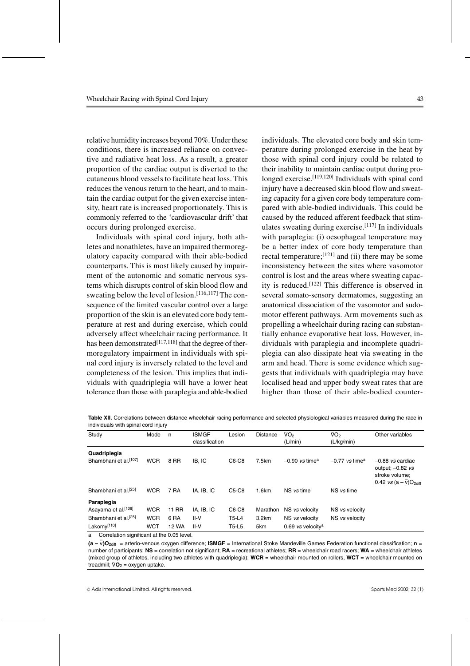relative humidity increases beyond 70%. Under these conditions, there is increased reliance on convective and radiative heat loss. As a result, a greater proportion of the cardiac output is diverted to the cutaneous blood vessels to facilitate heat loss. This reduces the venous return to the heart, and to maintain the cardiac output for the given exercise intensity, heart rate is increased proportionately. This is commonly referred to the 'cardiovascular drift' that occurs during prolonged exercise.

Individuals with spinal cord injury, both athletes and nonathletes, have an impaired thermoregulatory capacity compared with their able-bodied counterparts. This is most likely caused by impairment of the autonomic and somatic nervous systems which disrupts control of skin blood flow and sweating below the level of lesion.<sup>[116,117]</sup> The consequence of the limited vascular control over a large proportion of the skin is an elevated core body temperature at rest and during exercise, which could adversely affect wheelchair racing performance. It has been demonstrated<sup>[117,118]</sup> that the degree of thermoregulatory impairment in individuals with spinal cord injury is inversely related to the level and completeness of the lesion. This implies that individuals with quadriplegia will have a lower heat tolerance than those with paraplegia and able-bodied individuals. The elevated core body and skin temperature during prolonged exercise in the heat by those with spinal cord injury could be related to their inability to maintain cardiac output during prolonged exercise.<sup>[119,120]</sup> Individuals with spinal cord injury have a decreased skin blood flow and sweating capacity for a given core body temperature compared with able-bodied individuals. This could be caused by the reduced afferent feedback that stimulates sweating during exercise.<sup>[117]</sup> In individuals with paraplegia: (i) oesophageal temperature may be a better index of core body temperature than rectal temperature; $[121]$  and (ii) there may be some inconsistency between the sites where vasomotor control is lost and the areas where sweating capacity is reduced.[122] This difference is observed in several somato-sensory dermatomes, suggesting an anatomical dissociation of the vasomotor and sudomotor efferent pathways. Arm movements such as propelling a wheelchair during racing can substantially enhance evaporative heat loss. However, individuals with paraplegia and incomplete quadriplegia can also dissipate heat via sweating in the arm and head. There is some evidence which suggests that individuals with quadriplegia may have localised head and upper body sweat rates that are higher than those of their able-bodied counter-

**Table XII.** Correlations between distance wheelchair racing performance and selected physiological variables measured during the race in individuals with spinal cord injury

| Study                                                                                                        | Mode                                   | n                                               | <b>ISMGF</b><br>classification | Lesion                    | <b>Distance</b>          | VO <sub>2</sub><br>(L/min)                                          | VO <sub>2</sub><br>(L/kg/min)    | Other variables                                                                          |
|--------------------------------------------------------------------------------------------------------------|----------------------------------------|-------------------------------------------------|--------------------------------|---------------------------|--------------------------|---------------------------------------------------------------------|----------------------------------|------------------------------------------------------------------------------------------|
| Quadriplegia<br>Bhambhani et al. <sup>[107]</sup>                                                            | <b>WCR</b>                             | 8 RR                                            | IB. IC                         | $C6-C8$                   | 7.5km                    | $-0.90$ vs time <sup>a</sup>                                        | $-0.77$ vs time <sup>a</sup>     | $-0.88$ vs cardiac<br>output; $-0.82$ vs<br>stroke volume;<br>0.42 $vs (a - v)O_{2diff}$ |
| Bhambhani et al. <sup>[25]</sup>                                                                             | <b>WCR</b>                             | 7 RA                                            | IA, IB, IC                     | $C5-C8$                   | 1.6km                    | NS vs time                                                          | $NS$ $vs$ time                   |                                                                                          |
| Paraplegia<br>Asayama et al. <sup>[108]</sup><br>Bhambhani et al. <sup>[25]</sup><br>Lakomy <sup>[110]</sup> | <b>WCR</b><br><b>WCR</b><br><b>WCT</b> | <b>11 RR</b><br>6 <sub>RA</sub><br><b>12 WA</b> | IA, IB, IC<br>II-V<br>II-V     | $C6-C8$<br>T5-L4<br>T5-L5 | Marathon<br>3.2km<br>5km | NS vs velocity<br>NS vs velocity<br>0.69 $vs$ velocity <sup>a</sup> | NS vs velocity<br>NS vs velocity |                                                                                          |
| c. Corrolation gianificant at the O OF lovel                                                                 |                                        |                                                 |                                |                           |                          |                                                                     |                                  |                                                                                          |

orrelation significant at the 0.05 level.

**(a –** v \_ **)O**2diff = arterio-venous oxygen difference; **ISMGF** = International Stoke Mandeville Games Federation functional classification; **n** = number of participants; **NS** = correlation not significant; **RA** = recreational athletes; **RR** = wheelchair road racers; **WA** = wheelchair athletes (mixed group of athletes, including two athletes with quadriplegia); **WCR** = wheelchair mounted on rollers, **WCT** = wheelchair mounted on  $t$ readmill;  $VO<sub>2</sub> = oxygen uptake.$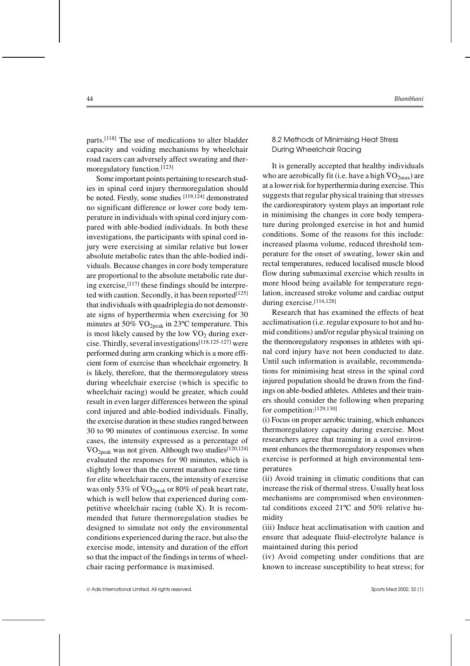parts.[118] The use of medications to alter bladder capacity and voiding mechanisms by wheelchair road racers can adversely affect sweating and thermoregulatory function.[123]

Some important points pertaining to research studies in spinal cord injury thermoregulation should be noted. Firstly, some studies [119,124] demonstrated no significant difference or lower core body temperature in individuals with spinal cord injury compared with able-bodied individuals. In both these investigations, the participants with spinal cord injury were exercising at similar relative but lower absolute metabolic rates than the able-bodied individuals. Because changes in core body temperature are proportional to the absolute metabolic rate during exercise,[117] these findings should be interpreted with caution. Secondly, it has been reported $[125]$ that individuals with quadriplegia do not demonstrate signs of hyperthermia when exercising for 30 minutes at  $50\%$  VO<sub>2peak</sub> in 23<sup>o</sup>C temperature. This is most likely caused by the low  $\sqrt{VQ_2}$  during exercise. Thirdly, several investigations[118,125-127] were performed during arm cranking which is a more efficient form of exercise than wheelchair ergometry. It is likely, therefore, that the thermoregulatory stress during wheelchair exercise (which is specific to wheelchair racing) would be greater, which could result in even larger differences between the spinal cord injured and able-bodied individuals. Finally, the exercise duration in these studies ranged between 30 to 90 minutes of continuous exercise. In some cases, the intensity expressed as a percentage of volution of the measured as a percentage of  $\rm VO_{2peak}$  was not given. Although two studies<sup>[120,124]</sup> evaluated the responses for 90 minutes, which is slightly lower than the current marathon race time for elite wheelchair racers, the intensity of exercise was only 53% of  $\sqrt{O_{2\text{peak}}}$  or 80% of peak heart rate, which is well below that experienced during competitive wheelchair racing (table X). It is recommended that future thermoregulation studies be designed to simulate not only the environmental conditions experienced during the race, but also the exercise mode, intensity and duration of the effort so that the impact of the findings in terms of wheelchair racing performance is maximised.

8.2 Methods of Minimising Heat Stress During Wheelchair Racing

It is generally accepted that healthy individuals who are aerobically fit (i.e. have a high  $VO_{2max}$ ) are at a lower risk for hyperthermia during exercise. This suggests that regular physical training that stresses the cardiorespiratory system plays an important role in minimising the changes in core body temperature during prolonged exercise in hot and humid conditions. Some of the reasons for this include: increased plasma volume, reduced threshold temperature for the onset of sweating, lower skin and rectal temperatures, reduced localised muscle blood flow during submaximal exercise which results in more blood being available for temperature regulation, increased stroke volume and cardiac output during exercise.[114,128]

Research that has examined the effects of heat acclimatisation (i.e. regular exposure to hot and humid conditions) and/or regular physical training on the thermoregulatory responses in athletes with spinal cord injury have not been conducted to date. Until such information is available, recommendations for minimising heat stress in the spinal cord injured population should be drawn from the findings on able-bodied athletes. Athletes and their trainers should consider the following when preparing for competition:[129,130]

(i) Focus on proper aerobic training, which enhances thermoregulatory capacity during exercise. Most researchers agree that training in a cool environment enhances the thermoregulatory responses when exercise is performed at high environmental temperatures

(ii) Avoid training in climatic conditions that can increase the risk of thermal stress. Usually heat loss mechanisms are compromised when environmental conditions exceed 21ºC and 50% relative humidity

(iii) Induce heat acclimatisation with caution and ensure that adequate fluid-electrolyte balance is maintained during this period

(iv) Avoid competing under conditions that are known to increase susceptibility to heat stress; for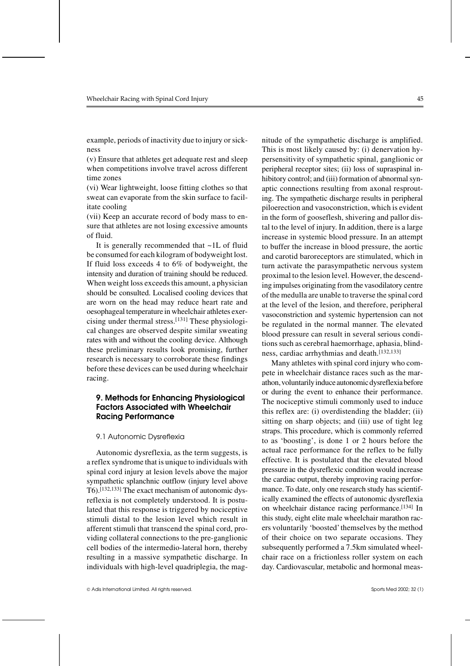example, periods of inactivity due to injury or sickness

(v) Ensure that athletes get adequate rest and sleep when competitions involve travel across different time zones

(vi) Wear lightweight, loose fitting clothes so that sweat can evaporate from the skin surface to facilitate cooling

(vii) Keep an accurate record of body mass to ensure that athletes are not losing excessive amounts of fluid.

It is generally recommended that ~1L of fluid be consumed for each kilogram of bodyweight lost. If fluid loss exceeds 4 to 6% of bodyweight, the intensity and duration of training should be reduced. When weight loss exceeds this amount, a physician should be consulted. Localised cooling devices that are worn on the head may reduce heart rate and oesophageal temperature in wheelchair athletes exercising under thermal stress.[131] These physiological changes are observed despite similar sweating rates with and without the cooling device. Although these preliminary results look promising, further research is necessary to corroborate these findings before these devices can be used during wheelchair racing.

# **9. Methods for Enhancing Physiological Factors Associated with Wheelchair Racing Performance**

#### 9.1 Autonomic Dysreflexia

Autonomic dysreflexia, as the term suggests, is a reflex syndrome that is unique to individuals with spinal cord injury at lesion levels above the major sympathetic splanchnic outflow (injury level above T6).[132,133] The exact mechanism of autonomic dysreflexia is not completely understood. It is postulated that this response is triggered by nociceptive stimuli distal to the lesion level which result in afferent stimuli that transcend the spinal cord, providing collateral connections to the pre-ganglionic cell bodies of the intermedio-lateral horn, thereby resulting in a massive sympathetic discharge. In individuals with high-level quadriplegia, the magnitude of the sympathetic discharge is amplified. This is most likely caused by: (i) denervation hypersensitivity of sympathetic spinal, ganglionic or peripheral receptor sites; (ii) loss of supraspinal inhibitory control; and (iii) formation of abnormal synaptic connections resulting from axonal resprouting. The sympathetic discharge results in peripheral piloerection and vasoconstriction, which is evident in the form of gooseflesh, shivering and pallor distal to the level of injury. In addition, there is a large increase in systemic blood pressure. In an attempt to buffer the increase in blood pressure, the aortic and carotid baroreceptors are stimulated, which in turn activate the parasympathetic nervous system proximal to the lesion level. However, the descending impulses originating from the vasodilatory centre of the medulla are unable to traverse the spinal cord at the level of the lesion, and therefore, peripheral vasoconstriction and systemic hypertension can not be regulated in the normal manner. The elevated blood pressure can result in several serious conditions such as cerebral haemorrhage, aphasia, blindness, cardiac arrhythmias and death.<sup>[132,133]</sup>

Many athletes with spinal cord injury who compete in wheelchair distance races such as the marathon, voluntarily induce autonomic dysreflexia before or during the event to enhance their performance. The nociceptive stimuli commonly used to induce this reflex are: (i) overdistending the bladder; (ii) sitting on sharp objects; and (iii) use of tight leg straps. This procedure, which is commonly referred to as 'boosting', is done 1 or 2 hours before the actual race performance for the reflex to be fully effective. It is postulated that the elevated blood pressure in the dysreflexic condition would increase the cardiac output, thereby improving racing performance. To date, only one research study has scientifically examined the effects of autonomic dysreflexia on wheelchair distance racing performance.[134] In this study, eight elite male wheelchair marathon racers voluntarily 'boosted'themselves by the method of their choice on two separate occasions. They subsequently performed a 7.5km simulated wheelchair race on a frictionless roller system on each day. Cardiovascular, metabolic and hormonal meas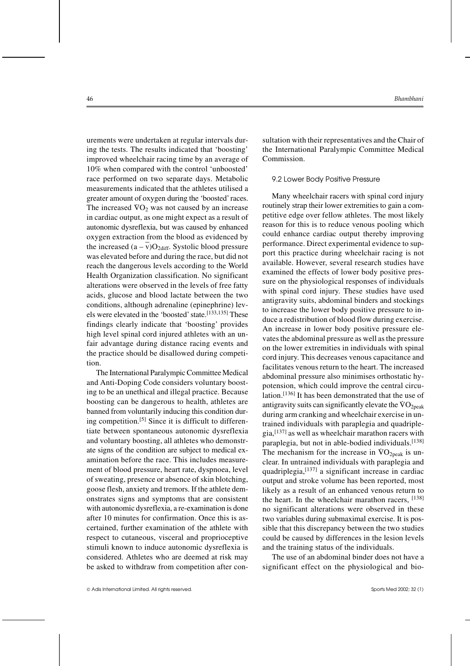urements were undertaken at regular intervals during the tests. The results indicated that 'boosting' improved wheelchair racing time by an average of 10% when compared with the control 'unboosted' race performed on two separate days. Metabolic measurements indicated that the athletes utilised a greater amount of oxygen during the 'boosted'races. The increased  $\overline{VO_2}$  was not caused by an increase in cardiac output, as one might expect as a result of autonomic dysreflexia, but was caused by enhanced oxygen extraction from the blood as evidenced by oxygen extraction from the blood as evidenced by<br>the increased  $(a - \overline{v})O_{2\text{diff}}$ . Systolic blood pressure was elevated before and during the race, but did not reach the dangerous levels according to the World Health Organization classification. No significant alterations were observed in the levels of free fatty acids, glucose and blood lactate between the two conditions, although adrenaline (epinephrine) levels were elevated in the 'boosted' state.<sup>[133,135]</sup> These findings clearly indicate that 'boosting' provides high level spinal cord injured athletes with an unfair advantage during distance racing events and the practice should be disallowed during competition.

The International Paralympic Committee Medical and Anti-Doping Code considers voluntary boosting to be an unethical and illegal practice. Because boosting can be dangerous to health, athletes are banned from voluntarily inducing this condition during competition.[5] Since it is difficult to differentiate between spontaneous autonomic dysreflexia and voluntary boosting, all athletes who demonstrate signs of the condition are subject to medical examination before the race. This includes measurement of blood pressure, heart rate, dyspnoea, level of sweating, presence or absence of skin blotching, goose flesh, anxiety and tremors. If the athlete demonstrates signs and symptoms that are consistent with autonomic dysreflexia, a re-examination is done after 10 minutes for confirmation. Once this is ascertained, further examination of the athlete with respect to cutaneous, visceral and proprioceptive stimuli known to induce autonomic dysreflexia is considered. Athletes who are deemed at risk may be asked to withdraw from competition after consultation with their representatives and the Chair of the International Paralympic Committee Medical Commission.

#### 9.2 Lower Body Positive Pressure

Many wheelchair racers with spinal cord injury routinely strap their lower extremities to gain a competitive edge over fellow athletes. The most likely reason for this is to reduce venous pooling which could enhance cardiac output thereby improving performance. Direct experimental evidence to support this practice during wheelchair racing is not available. However, several research studies have examined the effects of lower body positive pressure on the physiological responses of individuals with spinal cord injury. These studies have used antigravity suits, abdominal binders and stockings to increase the lower body positive pressure to induce a redistribution of blood flow during exercise. An increase in lower body positive pressure elevates the abdominal pressure as well as the pressure on the lower extremities in individuals with spinal cord injury. This decreases venous capacitance and facilitates venous return to the heart. The increased abdominal pressure also minimises orthostatic hypotension, which could improve the central circulation.[136] It has been demonstrated that the use of antigravity suits can significantly elevate the  $VO<sub>2peak</sub>$ during arm cranking and wheelchair exercise in untrained individuals with paraplegia and quadriplegia, $[137]$  as well as wheelchair marathon racers with paraplegia, but not in able-bodied individuals.<sup>[138]</sup> parapregna, out not in able bodied marviolals.<br>The mechanism for the increase in  $VO<sub>2peak</sub>$  is unclear. In untrained individuals with paraplegia and quadriplegia,[137] a significant increase in cardiac output and stroke volume has been reported, most likely as a result of an enhanced venous return to the heart. In the wheelchair marathon racers, [138] no significant alterations were observed in these two variables during submaximal exercise. It is possible that this discrepancy between the two studies could be caused by differences in the lesion levels and the training status of the individuals.

The use of an abdominal binder does not have a significant effect on the physiological and bio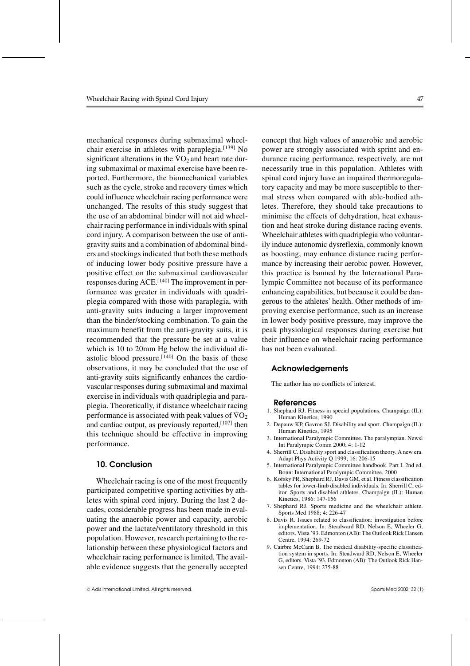mechanical responses during submaximal wheelchair exercise in athletes with paraplegia.<sup>[139]</sup> No  $\frac{1}{10}$  significant alterations in the  $\rm VO_2$  and heart rate during submaximal or maximal exercise have been reported. Furthermore, the biomechanical variables such as the cycle, stroke and recovery times which could influence wheelchair racing performance were unchanged. The results of this study suggest that the use of an abdominal binder will not aid wheelchair racing performance in individuals with spinal cord injury. A comparison between the use of antigravity suits and a combination of abdominal binders and stockings indicated that both these methods of inducing lower body positive pressure have a positive effect on the submaximal cardiovascular responses during ACE.<sup>[140]</sup> The improvement in performance was greater in individuals with quadriplegia compared with those with paraplegia, with anti-gravity suits inducing a larger improvement than the binder/stocking combination. To gain the maximum benefit from the anti-gravity suits, it is recommended that the pressure be set at a value which is 10 to 20mm Hg below the individual diastolic blood pressure. $[140]$  On the basis of these observations, it may be concluded that the use of anti-gravity suits significantly enhances the cardiovascular responses during submaximal and maximal exercise in individuals with quadriplegia and paraplegia. Theoretically, if distance wheelchair racing performance is associated with peak values of  $\sqrt{VQ_2}$ and cardiac output, as previously reported, $[107]$  then this technique should be effective in improving performance.

# **10. Conclusion**

Wheelchair racing is one of the most frequently participated competitive sporting activities by athletes with spinal cord injury. During the last 2 decades, considerable progress has been made in evaluating the anaerobic power and capacity, aerobic power and the lactate/ventilatory threshold in this population. However, research pertaining to the relationship between these physiological factors and wheelchair racing performance is limited. The available evidence suggests that the generally accepted

mance by increasing their aerobic power. However, this practice is banned by the International Paralympic Committee not because of its performance enhancing capabilities, but because it could be dangerous to the athletes' health. Other methods of improving exercise performance, such as an increase in lower body positive pressure, may improve the peak physiological responses during exercise but their influence on wheelchair racing performance has not been evaluated. **Acknowledgements** The author has no conflicts of interest. **References** 1. Shephard RJ. Fitness in special populations. Champaign (IL): Human Kinetics, 1990 2. Depauw KP, Gavron SJ. Disability and sport. Champaign (IL): Human Kinetics, 1995 3. International Paralympic Committee. The paralympian. Newsl Int Paralympic Comm 2000; 4: 1-12

4. Sherrill C. Disability sport and classification theory. A new era. Adapt Phys Activity Q 1999; 16: 206-15

concept that high values of anaerobic and aerobic power are strongly associated with sprint and endurance racing performance, respectively, are not necessarily true in this population. Athletes with spinal cord injury have an impaired thermoregulatory capacity and may be more susceptible to thermal stress when compared with able-bodied athletes. Therefore, they should take precautions to minimise the effects of dehydration, heat exhaustion and heat stroke during distance racing events. Wheelchair athletes with quadriplegia who voluntarily induce autonomic dysreflexia, commonly known as boosting, may enhance distance racing perfor-

- 5. International Paralympic Committee handbook. Part I. 2nd ed. Bonn: International Paralympic Committee, 2000
- 6. Kofsky PR, Shephard RJ, Davis GM, et al. Fitness classification tables for lower-limb disabled individuals. In: Sherrill C, editor. Sports and disabled athletes. Champaign (IL): Human Kinetics, 1986: 147-156
- 7. Shephard RJ. Sports medicine and the wheelchair athlete. Sports Med 1988; 4: 226-47
- 8. Davis R. Issues related to classification: investigation before implementation. In: Steadward RD, Nelson E, Wheeler G, editors. Vista '93. Edmonton (AB): The Outlook Rick Hansen Centre, 1994: 269-72
- 9. Cairbre McCann B. The medical disability-specific classification system in sports. In: Steadward RD, Nelson E, Wheeler G, editors. Vista '93. Edmonton (AB): The Outlook Rick Hansen Centre, 1994: 275-88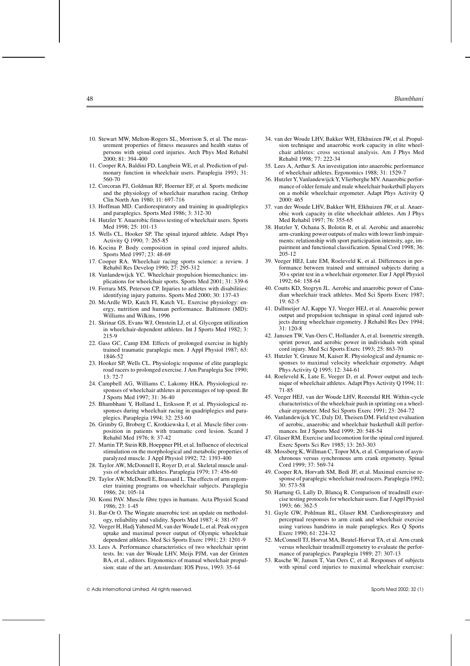- 10. Stewart MW, Melton-Rogers SL, Morrison S, et al. The measurement properties of fitness measures and health status of persons with spinal cord injuries. Arch Phys Med Rehabil 2000; 81: 394-400
- 11. Cooper RA, Baldini FD, Langbein WE, et al. Prediction of pulmonary function in wheelchair users. Paraplegia 1993; 31: 560-70
- 12. Corcoran PJ, Goldman RF, Hoerner EF, et al. Sports medicine and the physiology of wheelchair marathon racing. Orthop Clin North Am 1980; 11: 697-716
- 13. Hoffman MD. Cardiorespiratory and training in quadriplegics and paraplegics. Sports Med 1986; 3: 312-30
- 14. Hutzler Y. Anaerobic fitness testing of wheelchair users. Sports Med 1998; 25: 101-13
- 15. Wells CL, Hooker SP. The spinal injured athlete. Adapt Phys Activity Q 1990; 7: 265-85
- 16. Kocina P. Body composition in spinal cord injured adults. Sports Med 1997; 23: 48-69
- 17. Cooper RA. Wheelchair racing sports science: a review. J Rehabil Res Develop 1990; 27: 295-312
- 18. Vanlandewijck YC. Wheelchair propulsion biomechanics: implications for wheelchair sports. Sports Med 2001; 31: 339-6
- 19. Ferrara MS, Peterson CP. Injuries to athletes with disabilities: identifying injury patterns. Sports Med 2000; 30: 137-43
- 20. McArdle WD, Katch FI, Katch VL. Exercise physiology: energy, nutrition and human performance. Baltimore (MD): Williams and Wilkins, 1996
- 21. Skrinar GS, Evans WJ, Ornstein LJ, et al. Glycogen utilization in wheelchair-dependent athletes. Int J Sports Med 1982; 3: 215-9
- 22. Gass GC, Camp EM. Effects of prolonged exercise in highly trained traumatic paraplegic men. J Appl Physiol 1987; 63: 1846-52
- 23. Hooker SP, Wells CL. Physiologic response of elite paraplegic road racers to prolonged exercise. J Am Paraplegia Soc 1990; 13: 72-7
- 24. Campbell AG, Williams C, Lakomy HKA. Physiological responses of wheelchair athletes at percentages of top speed. Br J Sports Med 1997; 31: 36-40
- 25. Bhambhani Y, Holland L, Eriksson P, et al. Physiological responses during wheelchair racing in quadriplegics and paraplegics. Paraplegia 1994; 32: 253-60
- 26. Grimby G, Broberg C, Krotkiewska I, et al. Muscle fiber composition in patients with traumatic cord lesion. Scand J Rehabil Med 1976; 8: 37-42
- 27. Martin TP, Stein RB, Hoeppner PH, et al. Influence of electrical stimulation on the morphological and metabolic properties of paralyzed muscle. J Appl Physiol 1992; 72: 1393-400
- 28. Taylor AW, McDonnell E, Royer D, et al. Skeletal muscle analysis of wheelchair athletes. Paraplegia 1979; 17: 456-60
- 29. Taylor AW, McDonell E, Brassard L. The effects of arm ergometer training programs on wheelchair subjects. Paraplegia 1986; 24: 105-14
- 30. Komi PAV. Muscle fibre types in humans. Acta Physiol Scand 1986; 23: 1-45
- 31. Bar-Or O. The Wingate anaerobic test: an update on methodology, reliability and validity. Sports Med 1987; 4: 381-97
- 32. Veeger H, Hadj Yahmed M, van der Woude L, et al. Peak oxygen uptake and maximal power output of Olympic wheelchair dependent athletes. Med Sci Sports Exerc 1991; 23: 1201-9
- 33. Lees A. Performance characteristics of two wheelchair sprint tests. In: van der Woude LHV, Meijs PJM, van der Grinten BA, et al., editors. Ergonomics of manual wheelchair propulsion: state of the art. Amsterdam: IOS Press, 1993: 35-44
- 34. van der Woude LHV, Bakker WH, Elkhuizen JW, et al. Propulsion technique and anaerobic work capacity in elite wheelchair athletes: cross sectional analysis. Am J Phys Med Rehabil 1998; 77: 222-34
- 35. Lees A, Arthur S. An investigation into anaerobic performance of wheelchair athletes. Ergonomics 1988; 31: 1529-7
- 36. Hutzler Y, Vanlandewijck Y, Vlierberghe MV. Anaerobic performance of older female and male wheelchair basketball players on a mobile wheelchair ergometer. Adapt Phys Activity Q 2000: 465
- 37. van der Woude LHV, Bakker WH, Elkhuizen JW, et al. Anaerobic work capacity in elite wheelchair athletes. Am J Phys Med Rehabil 1997; 76: 355-65
- 38. Hutzler Y, Ochana S, Bolotin R, et al. Aerobic and anaerobic arm-cranking power outputs of males with lower limb impairments: relationship with sport participation intensity, age, impairment and functional classification. Spinal Cord 1998; 36: 205-12
- 39. Veeger HEJ, Lute EM, Roeleveld K, et al. Differences in performance between trained and untrained subjects during a 30-s sprint test in a wheelchair ergometer. Eur J Appl Physiol 1992; 64: 158-64
- 40. Coutts KD, Stogryn JL. Aerobic and anaerobic power of Canadian wheelchair track athletes. Med Sci Sports Exerc 1987; 19: 62-5
- 41. Dallmeijer AJ, Kappe YJ, Veeger HEJ, et al. Anaerobic power output and propulsion technique in spinal cord injured subjects during wheelchair ergometry. J Rehabil Res Dev 1994; 31: 120-8
- 42. Janssen TW, Van-Oers C, Hollander A, et al. Isometric strength, sprint power, and aerobic power in individuals with spinal cord injury. Med Sci Sports Exerc 1993; 25: 863-70
- 43. Hutzler Y, Grunze M, Kaiser R. Physiological and dynamic responses to maximal velocity wheelchair ergometry. Adapt Phys Activity Q 1995; 12: 344-61
- 44. Roeleveld K, Lute E, Veeger D, et al. Power output and technique of wheelchair athletes. Adapt Phys Activity Q 1994; 11: 71-85
- 45. Veeger HEJ, van der Woude LHV, Rozendal RH. Within-cycle characteristics of the wheelchair push in sprinting on a wheelchair ergometer. Med Sci Sports Exerc 1991; 23: 264-72
- 46. Vanlandewijck YC, Daly DJ, Theisen DM. Field test evaluation of aerobic, anaerobic and wheelchair basketball skill performances. Int J Sports Med 1999; 20: 548-54
- 47. Glaser RM. Exercise and locomotion for the spinal cord injured. Exerc Sports Sci Rev 1985; 13: 263-303
- 48. Mossberg K, Willman C, Topor MA, et al. Comparison of asynchronous versus synchronous arm crank ergometry. Spinal Cord 1999; 37: 569-74
- 49. Cooper RA, Horvath SM, Bedi JF, et al. Maximal exercise response of paraplegic wheelchair road racers. Paraplegia 1992; 30: 573-58
- 50. Hartung G, Lally D, Blancq R. Comparison of treadmill exercise testing protocols for wheelchair users. Eur J Appl Physiol 1993; 66: 362-5
- 51. Gayle GW, Pohlman RL, Glaser RM. Cardiorespiratory and perceptual responses to arm crank and wheelchair exercise using various handrims in male paraplegics. Res Q Sports Exerc 1990; 61: 224-32
- 52. McConnell TJ, Horvat MA, Beutel-Horvat TA, et al. Arm crank versus wheelchair treadmill ergometry to evaluate the performance of paraplegics. Paraplegia 1989; 27: 307-13
- 53. Rasche W, Jansen T, Van Oers C, et al. Responses of subjects with spinal cord injuries to maximal wheelchair exercise: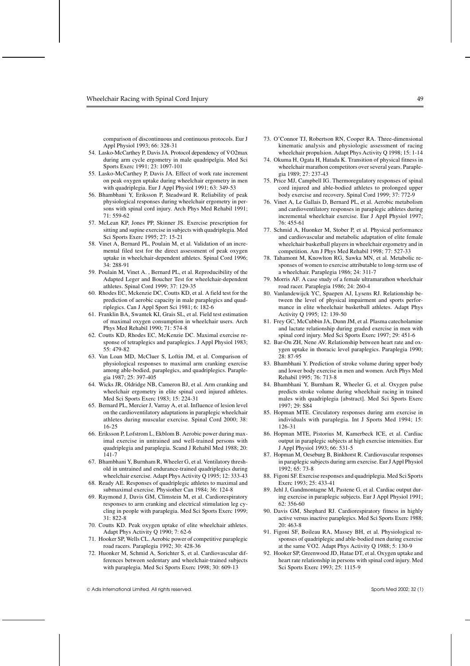comparison of discontinuous and continuous protocols. Eur J Appl Physiol 1993; 66: 328-31

- 54. Lasko-McCarthey P, Davis JA. Protocol dependency of V . O2max during arm cycle ergometry in male quadripelgia. Med Sci Sports Exerc 1991; 23: 1097-101
- 55. Lasko-McCarthey P, Davis JA. Effect of work rate increment on peak oxygen uptake during wheelchair ergometry in men with quadriplegia. Eur J Appl Physiol 1991; 63: 349-53
- 56. Bhambhani Y, Eriksson P, Steadward R. Reliability of peak physiological responses during wheelchair ergometry in persons with spinal cord injury. Arch Phys Med Rehabil 1991; 71: 559-62
- 57. McLean KP, Jones PP, Skinner JS. Exercise prescription for sitting and supine exercise in subjects with quadriplegia. Med Sci Sports Exerc 1995; 27: 15-21
- 58. Vinet A, Bernard PL, Poulain M, et al. Validation of an incremental filed test for the direct assessment of peak oxygen uptake in wheelchair-dependent athletes. Spinal Cord 1996; 34: 288-91
- 59. Poulain M, Vinet A. , Bernard PL, et al. Reproducibility of the Adapted Leger and Boucher Test for wheelchair-dependent athletes. Spinal Cord 1999; 37: 129-35
- 60. Rhodes EC, Mckenzie DC, Coutts KD, et al. A field test for the prediction of aerobic capacity in male paraplegics and quadriplegics. Can J Appl Sport Sci 1981; 6: 182-6
- 61. Franklin BA, Swantek KI, Grais SL, et al. Field test estimation of maximal oxygen consumption in wheelchair users. Arch Phys Med Rehabil 1990; 71: 574-8
- 62. Coutts KD, Rhodes EC, McKenzie DC. Maximal exercise response of tetraplegics and paraplegics. J Appl Physiol 1983; 55: 479-82
- 63. Van Loan MD, McCluer S, Loftin JM, et al. Comparison of physiological responses to maximal arm cranking exercise among able-bodied, paraplegics, and quadriplegics. Paraplegia 1987; 25: 397-405
- 64. Wicks JR, Oldridge NB, Cameron BJ, et al. Arm cranking and wheelchair ergometry in elite spinal cord injured athletes. Med Sci Sports Exerc 1983; 15: 224-31
- 65. Bernard PL, Mercier J, Varray A, et al. Influence of lesion level on the cardioventilatory adaptations in paraplegic wheelchair athletes during muscular exercise. Spinal Cord 2000; 38: 16-25
- 66. Eriksson P, Lofstrom L, Ekblom B. Aerobic power during maximal exercise in untrained and well-trained persons with quadriplegia and paraplegia. Scand J Rehabil Med 1988; 20: 141-7
- 67. Bhambhani Y, Burnham R, Wheeler G, et al. Ventilatory threshold in untrained and endurance-trained quadriplegics during wheelchair exercise. Adapt Phys Activity Q 1995; 12: 333-43
- 68. Ready AE. Responses of quadriplegic athletes to maximal and submaximal exercise. Physiother Can 1984; 36: 124-8
- 69. Raymond J, Davis GM, Climstein M, et al. Cardiorespiratory responses to arm cranking and electrical stimulation leg cycling in people with paraplegia. Med Sci Sports Exerc 1999;  $31.822 - 8$
- 70. Coutts KD. Peak oxygen uptake of elite wheelchair athletes. Adapt Phys Activity Q 1990; 7: 62-6
- 71. Hooker SP, Wells CL. Aerobic power of competitive paraplegic road racers. Paraplegia 1992; 30: 428-36
- 72. Huonker M, Schmid A, Sorichter S, et al. Cardiovascular differences between sedentary and wheelchair-trained subjects with paraplegia. Med Sci Sports Exerc 1998; 30: 609-13
- 73. O'Connor TJ, Robertson RN, Cooper RA. Three-dimensional kinematic analysis and physiologic assessment of racing wheelchair propulsion. Adapt Phys Activity Q 1998; 15: 1-14
- 74. Okuma H, Ogata H, Hatada K. Transition of physical fitness in wheelchair marathon competitors over several years. Paraplegia 1989; 27: 237-43
- 75. Price MJ, Campbell IG. Thermoregulatory responses of spinal cord injured and able-bodied athletes to prolonged upper body exercise and recovery. Spinal Cord 1999; 37: 772-9
- 76. Vinet A, Le Gallais D, Bernard PL, et al. Aerobic metabolism and cardioventilatory responses in paraplegic athletes during incremental wheelchair exercise. Eur J Appl Physiol 1997; 76: 455-61
- 77. Schmid A, Huonker M, Stober P, et al. Physical performance and cardiovascular and metabolic adaptation of elite female wheelchair basketball players in wheelchair ergometry and in competition. Am J Phys Med Rehabil 1998; 77: 527-33
- 78. Tahamont M, Knowlton RG, Sawka MN, et al. Metabolic responses of women to exercise attributable to long-term use of a wheelchair. Paraplegia 1986; 24: 311-7
- 79. Morris AF. A case study of a female ultramarathon wheelchair road racer. Paraplegia 1986; 24: 260-4
- 80. Vanlandewijck YC, Spaepen AJ, Lysens RJ. Relationship between the level of physical impairment and sports performance in elite wheelchair basketball athletes. Adapt Phys Activity Q 1995; 12: 139-50
- 81. Frey GC, McCubbin JA, Dunn JM, et al. Plasma catecholamine and lactate relationship during graded exercise in men with spinal cord injury. Med Sci Sports Exerc 1997; 29: 451-6
- 82. Bar-On ZH, Nene AV. Relationship between heart rate and oxygen uptake in thoracic level paraplegics. Paraplegia 1990; 28: 87-95
- 83. Bhambhani Y. Prediction of stroke volume during upper body and lower body exercise in men and women. Arch Phys Med Rehabil 1995; 76: 713-8
- 84. Bhambhani Y, Burnham R, Wheeler G, et al. Oxygen pulse predicts stroke volume during wheelchair racing in trained males with quadriplegia [abstract]. Med Sci Sports Exerc 1997; 29: S84
- 85. Hopman MTE. Circulatory responses during arm exercise in individuals with paraplegia. Int J Sports Med 1994; 15: 126-31
- 86. Hopman MTE, Pistorius M, Kamerbeck ICE, et al. Cardiac output in paraplegic subjects at high exercise intensities. Eur J Appl Physiol 1993; 66: 531-5
- 87. Hopman M, Oeseburg B, Binkhorst R. Cardiovascular responses in paraplegic subjects during arm exercise. Eur J Appl Physiol 1992; 65: 73-8
- 88. Figoni SF. Exercise responses and quadriplegia. Med Sci Sports Exerc 1993; 25: 433-41
- 89. Jehl J, Gandmontagne M, Pastene G, et al. Cardiac output during exercise in paraplegic subjects. Eur J Appl Physiol 1991;  $62: 356-60$
- 90. Davis GM, Shephard RJ. Cardiorespiratory fitness in highly active versus inactive paraplegics. Med Sci Sports Exerc 1988; 20: 463-8
- 91. Figoni SF, Boileau RA, Massey BH, et al. Physiological responses of quadriplegic and able-bodied men during exercise at the same V . O2. Adapt Phys Activity Q 1988; 5: 130-9
- 92. Hooker SP, Greenwood JD, Hatae DT, et al. Oxygen uptake and heart rate relationship in persons with spinal cord injury. Med Sci Sports Exerc 1993; 25: 1115-9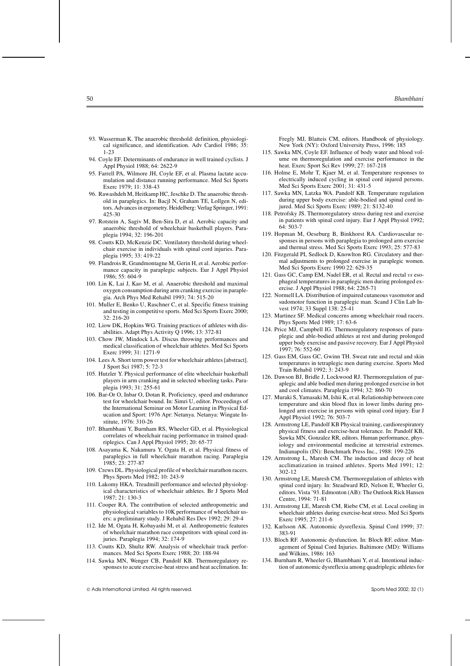- 93. Wasserman K. The anaerobic threshold: definition, physiological significance, and identification. Adv Cardiol 1986; 35: 1-23
- 94. Coyle EF. Determinants of endurance in well trained cyclists. J Appl Physiol 1988; 64: 2622-9
- 95. Farrell PA, Wilmore JH, Coyle EF, et al. Plasma lactate accumulation and distance running performance. Med Sci Sports Exerc 1979; 11: 338-43
- 96. Rawashdeh M, Heitkamp HC, Jeschke D. The anaerobic threshold in paraplegics. In: Bacjl N, Graham TE, Lollgen N, editors. Advances in ergometry. Heidelberg: Verlag Springer, 1991: 425-30
- 97. Rotstein A, Sagiv M, Ben-Sira D, et al. Aerobic capacity and anaerobic threshold of wheelchair basketball players. Paraplegia 1994; 32: 196-201
- 98. Coutts KD, McKenzie DC. Ventilatory threshold during wheelchair exercise in individuals with spinal cord injuries. Paraplegia 1995; 33: 419-22
- 99. Flandrois R, Grandmontagne M, Gerin H, et al. Aerobic performance capacity in paraplegic subjects. Eur J Appl Physiol 1986; 55: 604-9
- 100. Lin K, Lai J, Kao M, et al. Anaerobic threshold and maximal oxygen consumption during arm cranking exercise in paraplegia. Arch Phys Med Rehabil 1993; 74: 515-20
- 101. Muller E, Benko U, Raschner C, et al. Specific fitness training and testing in competitive sports. Med Sci Sports Exerc 2000; 32: 216-20
- 102. Liow DK, Hopkins WG. Training practices of athletes with disabilities. Adapt Phys Activity Q 1996; 13: 372-81
- 103. Chow JW, Mindock LA. Discus throwing performances and medical classification of wheelchair athletes. Med Sci Sports Exerc 1999; 31: 1271-9
- 104. Lees A. Short term power test for wheelchair athletes [abstract]. J Sport Sci 1987; 5: 72-3
- 105. Hutzler Y. Physical performance of elite wheelchair basketball players in arm cranking and in selected wheeling tasks. Paraplegia 1993; 31: 255-61
- 106. Bar-Or O, Inbar O, Dotan R. Proficiency, speed and endurance test for wheelchair bound. In: Simri U, editor. Proceedings of the International Seminar on Motor Learning in Physical Education and Sport: 1976 Apr: Netanya. Netanya: Wingate Institute, 1976: 310-26
- 107. Bhambhani Y, Burnham RS, Wheeler GD, et al. Physiological correlates of wheelchair racing performance in trained quadriplegics. Can J Appl Physiol 1995; 20: 65-77
- 108. Asayama K, Nakamura Y, Ogata H, et al. Physical fitness of paraplegics in full wheelchair marathon racing. Paraplegia 1985; 23: 277-87
- 109. Crews DL. Physiological profile of wheelchair marathon racers. Phys Sports Med 1982; 10: 243-9
- 110. Lakomy HKA. Treadmill performance and selected physiological characteristics of wheelchair athletes. Br J Sports Med 1987; 21: 130-3
- 111. Cooper RA. The contribution of selected anthropometric and physiological variables to 10K performance of wheelchair users: a preliminary study. J Rehabil Res Dev 1992; 29: 29-4
- 112. Ide M, Ogata H, Kobayashi M, et al. Anthropometric features of wheelchair marathon race competitors with spinal cord injuries. Paraplegia 1994; 32: 174-9
- 113. Coutts KD, Shultz RW. Analysis of wheelchair track performances. Med Sci Sports Exerc 1988; 20: 188-94
- 114. Sawka MN, Wenger CB, Pandolf KB. Thermoregulatory responses to acute exercise-heat stress and heat acclimation. In:

Fregly MJ, Blatteis CM, editors. Handbook of physiology. New York (NY): Oxford University Press, 1996: 185

- 115. Sawka MN, Coyle EF. Influence of body water and blood volume on thermoregulation and exercise performance in the heat. Exerc Sport Sci Rev 1999; 27: 167-218
- 116. Holme E, Mohr T, Kjaer M, et al. Temperature responses to electrically induced cycling in spinal cord injured persons. Med Sci Sports Exerc 2001; 31: 431-5
- 117. Sawka MN, Latzka WA. Pandolf KB. Temperature regulation during upper body exercise: able-bodied and spinal cord injured. Med Sci Sports Exerc 1989; 21: S132-40
- 118. Petrofsky JS. Thermoregulatory stress during rest and exercise in patients with spinal cord injury. Eur J Appl Physiol 1992; 64: 503-7
- 119. Hopman M, Oeseburg B, Binkhorst RA. Cardiovascular responses in persons with paraplegia to prolonged arm exercise and thermal stress. Med Sci Sports Exerc 1993; 25: 577-83
- 120. Fitzgerald PI, Sedlock D, Knowlton RG. Circulatory and thermal adjustments to prolonged exercise in paraplegic women. Med Sci Sports Exerc 1990 22: 629-35
- 121. Gass GC, Camp EM, Nadel ER, et al. Rectal and rectal *vs* esophageal temperatures in paraplegic men during prolonged exercise. J Appl Physiol 1988; 64: 2265-71
- 122. Normell LA. Distribution of impaired cutaneous vasomotor and sudomotor function in paraplegic man. Scand J Clin Lab Invest 1974; 33 Suppl 138: 25-41
- 123. Martinez SF. Medical concerns among wheelchair road racers. Phys Sports Med 1989; 17: 63-6
- 124. Price MJ, Campbell IG. Thermoregulatory responses of paraplegic and able-bodied athletes at rest and during prolonged upper body exercise and passive recovery. Eur J Appl Physiol 1997; 76: 552-60
- 125. Gass EM, Gass GC, Gwinn TH. Sweat rate and rectal and skin temperatures in tetraplegic men during exercise. Sports Med Train Rehabil 1992; 3: 243-9
- 126. Dawson BJ, Bridle J, Lockwood RJ. Thermoregulation of paraplegic and able bodied men during prolonged exercise in hot and cool climates. Paraplegia 1994; 32: 860-70
- 127. Muraki S, Yamasaki M, Ishii K, et al. Relationship between core temperature and skin blood flux in lower limbs during prolonged arm exercise in persons with spinal cord injury. Eur J Appl Physiol 1992; 76: 503-7
- 128. Armstrong LE, Pandolf KB Physical training, cardiorespiratory physical fitness and exercise-heat tolerance. In: Pandolf KB, Sawka MN, Gonzalez RR, editors. Human performance, physiology and environmental medicine at terrestrial extremes. Indianapolis (IN): Benchmark Press Inc., 1988: 199-226
- 129. Armstrong L, Maresh CM. The induction and decay of heat acclimatization in trained athletes. Sports Med 1991; 12: 302-12
- 130. Armstrong LE, Maresh CM. Thermoregulation of athletes with spinal cord injury. In: Steadward RD, Nelson E, Wheeler G, editors. Vista '93. Edmonton (AB): The Outlook Rick Hansen Centre, 1994: 71-81
- 131. Armstrong LE, Maresh CM, Riebe CM, et al. Local cooling in wheelchair athletes during exercise-heat stress. Med Sci Sports Exerc 1995; 27: 211-6
- 132. Karlsson AK. Autonomic dysreflexia. Spinal Cord 1999; 37: 383-91
- 133. Bloch RF. Autonomic dysfunction. In: Bloch RF, editor. Management of Spinal Cord Injuries. Baltimore (MD): Williams and Wilkins, 1986: 163
- 134. Burnham R, Wheeler G, Bhambhani Y, et al. Intentional induction of autonomic dysreflexia among quadriplegic athletes for